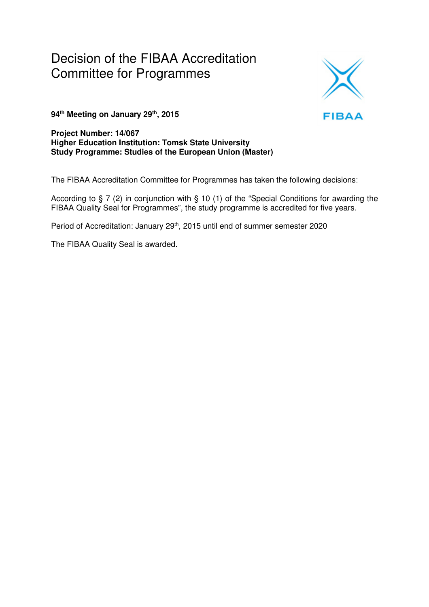# Decision of the FIBAA Accreditation Committee for Programmes



**94th Meeting on January 29th, 2015** 

**Project Number: 14/067 Higher Education Institution: Tomsk State University Study Programme: Studies of the European Union (Master)** 

The FIBAA Accreditation Committee for Programmes has taken the following decisions:

According to § 7 (2) in conjunction with § 10 (1) of the "Special Conditions for awarding the FIBAA Quality Seal for Programmes", the study programme is accredited for five years.

Period of Accreditation: January 29<sup>th</sup>, 2015 until end of summer semester 2020

The FIBAA Quality Seal is awarded.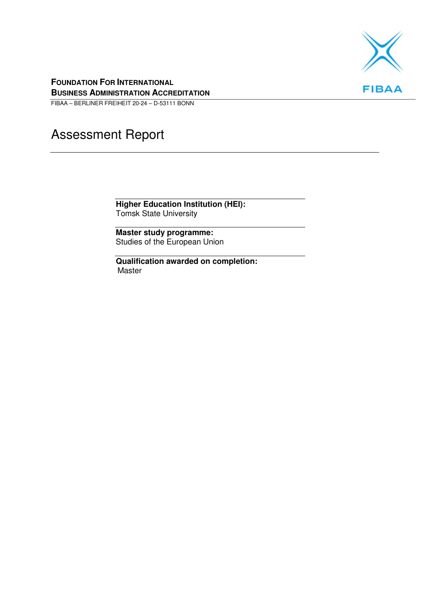

#### **FOUNDATION FOR INTERNATIONAL BUSINESS ADMINISTRATION ACCREDITATION**

FIBAA – BERLINER FREIHEIT 20-24 – D-53111 BONN

# Assessment Report

**Higher Education Institution (HEI):**  Tomsk State University

**Master study programme:**  Studies of the European Union

**Qualification awarded on completion:**  Master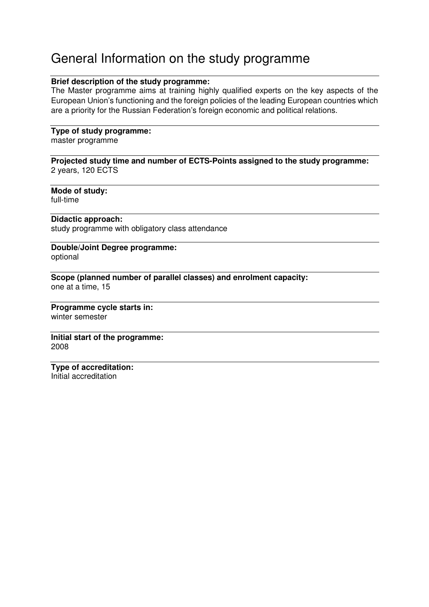# General Information on the study programme

#### **Brief description of the study programme:**

The Master programme aims at training highly qualified experts on the key aspects of the European Union's functioning and the foreign policies of the leading European countries which are a priority for the Russian Federation's foreign economic and political relations.

#### **Type of study programme:**

master programme

**Projected study time and number of ECTS-Points assigned to the study programme:**  2 years, 120 ECTS

**Mode of study:**  full-time

#### **Didactic approach:**

study programme with obligatory class attendance

#### **Double/Joint Degree programme:**  optional

**Scope (planned number of parallel classes) and enrolment capacity:**  one at a time, 15

#### **Programme cycle starts in:**  winter semester

**Initial start of the programme:**  2008

# **Type of accreditation:**

Initial accreditation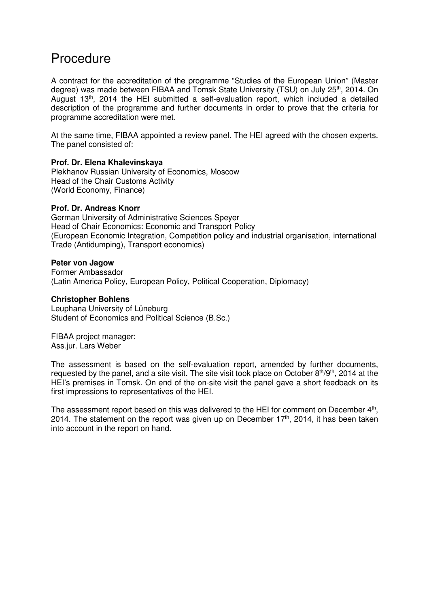## Procedure

A contract for the accreditation of the programme "Studies of the European Union" (Master degree) was made between FIBAA and Tomsk State University (TSU) on July 25<sup>th</sup>, 2014. On August 13<sup>th</sup>, 2014 the HEI submitted a self-evaluation report, which included a detailed description of the programme and further documents in order to prove that the criteria for programme accreditation were met.

At the same time, FIBAA appointed a review panel. The HEI agreed with the chosen experts. The panel consisted of:

#### **Prof. Dr. Elena Khalevinskaya**

Plekhanov Russian University of Economics, Moscow Head of the Chair Customs Activity (World Economy, Finance)

#### **Prof. Dr. Andreas Knorr**

German University of Administrative Sciences Speyer Head of Chair Economics: Economic and Transport Policy (European Economic Integration, Competition policy and industrial organisation, international Trade (Antidumping), Transport economics)

#### **Peter von Jagow**

Former Ambassador (Latin America Policy, European Policy, Political Cooperation, Diplomacy)

#### **Christopher Bohlens**

Leuphana University of Lüneburg Student of Economics and Political Science (B.Sc.)

FIBAA project manager: Ass.jur. Lars Weber

The assessment is based on the self-evaluation report, amended by further documents, requested by the panel, and a site visit. The site visit took place on October 8<sup>th</sup>/9<sup>th</sup>, 2014 at the HEI's premises in Tomsk. On end of the on-site visit the panel gave a short feedback on its first impressions to representatives of the HEI.

The assessment report based on this was delivered to the HEI for comment on December 4<sup>th</sup>, 2014. The statement on the report was given up on December  $17<sup>th</sup>$ , 2014, it has been taken into account in the report on hand.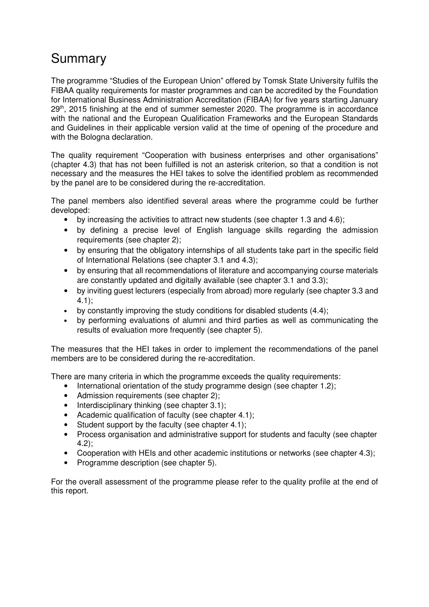# Summary

The programme "Studies of the European Union" offered by Tomsk State University fulfils the FIBAA quality requirements for master programmes and can be accredited by the Foundation for International Business Administration Accreditation (FIBAA) for five years starting January  $29<sup>th</sup>$ , 2015 finishing at the end of summer semester 2020. The programme is in accordance with the national and the European Qualification Frameworks and the European Standards and Guidelines in their applicable version valid at the time of opening of the procedure and with the Bologna declaration.

The quality requirement "Cooperation with business enterprises and other organisations" (chapter 4.3) that has not been fulfilled is not an asterisk criterion, so that a condition is not necessary and the measures the HEI takes to solve the identified problem as recommended by the panel are to be considered during the re-accreditation.

The panel members also identified several areas where the programme could be further developed:

- by increasing the activities to attract new students (see chapter 1.3 and 4.6);
- by defining a precise level of English language skills regarding the admission requirements (see chapter 2);
- by ensuring that the obligatory internships of all students take part in the specific field of International Relations (see chapter 3.1 and 4.3);
- by ensuring that all recommendations of literature and accompanying course materials are constantly updated and digitally available (see chapter 3.1 and 3.3);
- by inviting guest lecturers (especially from abroad) more regularly (see chapter 3.3 and 4.1);
- by constantly improving the study conditions for disabled students (4.4);
- by performing evaluations of alumni and third parties as well as communicating the results of evaluation more frequently (see chapter 5).

The measures that the HEI takes in order to implement the recommendations of the panel members are to be considered during the re-accreditation.

There are many criteria in which the programme exceeds the quality requirements:

- International orientation of the study programme design (see chapter 1.2):
- Admission requirements (see chapter 2);
- Interdisciplinary thinking (see chapter 3.1);
- Academic qualification of faculty (see chapter 4.1);
- Student support by the faculty (see chapter 4.1);
- Process organisation and administrative support for students and faculty (see chapter 4.2);
- Cooperation with HEIs and other academic institutions or networks (see chapter 4.3);
- Programme description (see chapter 5).

For the overall assessment of the programme please refer to the quality profile at the end of this report.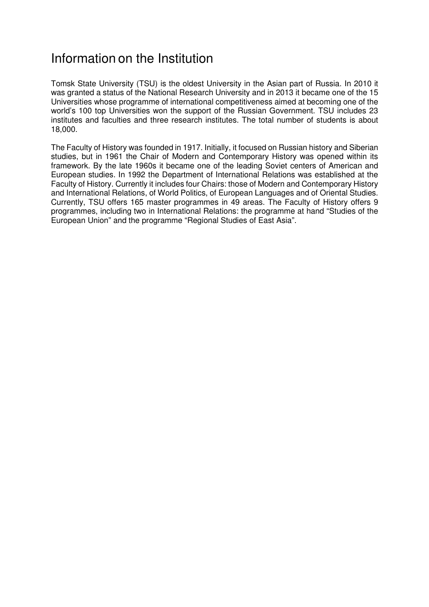# Information on the Institution

Tomsk State University (TSU) is the oldest University in the Asian part of Russia. In 2010 it was granted a status of the National Research University and in 2013 it became one of the 15 Universities whose programme of international competitiveness aimed at becoming one of the world's 100 top Universities won the support of the Russian Government. TSU includes 23 institutes and faculties and three research institutes. The total number of students is about 18,000.

The Faculty of History was founded in 1917. Initially, it focused on Russian history and Siberian studies, but in 1961 the Chair of Modern and Contemporary History was opened within its framework. By the late 1960s it became one of the leading Soviet centers of American and European studies. In 1992 the Department of International Relations was established at the Faculty of History. Currently it includes four Chairs: those of Modern and Contemporary History and International Relations, of World Politics, of European Languages and of Oriental Studies. Currently, TSU offers 165 master programmes in 49 areas. The Faculty of History offers 9 programmes, including two in International Relations: the programme at hand "Studies of the European Union" and the programme "Regional Studies of East Asia".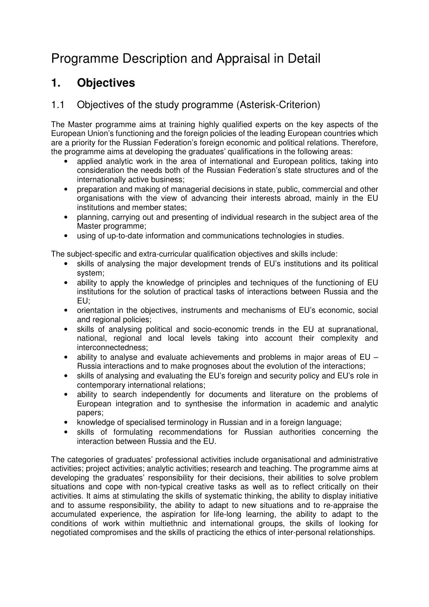# Programme Description and Appraisal in Detail

## **1. Objectives**

## 1.1 Objectives of the study programme (Asterisk-Criterion)

The Master programme aims at training highly qualified experts on the key aspects of the European Union's functioning and the foreign policies of the leading European countries which are a priority for the Russian Federation's foreign economic and political relations. Therefore, the programme aims at developing the graduates' qualifications in the following areas:

- applied analytic work in the area of international and European politics, taking into consideration the needs both of the Russian Federation's state structures and of the internationally active business;
- preparation and making of managerial decisions in state, public, commercial and other organisations with the view of advancing their interests abroad, mainly in the EU institutions and member states;
- planning, carrying out and presenting of individual research in the subject area of the Master programme;
- using of up-to-date information and communications technologies in studies.

The subject-specific and extra-curricular qualification objectives and skills include:

- skills of analysing the major development trends of EU's institutions and its political system;
- ability to apply the knowledge of principles and techniques of the functioning of EU institutions for the solution of practical tasks of interactions between Russia and the EU;
- orientation in the objectives, instruments and mechanisms of EU's economic, social and regional policies;
- skills of analysing political and socio-economic trends in the EU at supranational, national, regional and local levels taking into account their complexity and interconnectedness;
- ability to analyse and evaluate achievements and problems in major areas of EU Russia interactions and to make prognoses about the evolution of the interactions;
- skills of analysing and evaluating the EU's foreign and security policy and EU's role in contemporary international relations;
- ability to search independently for documents and literature on the problems of European integration and to synthesise the information in academic and analytic papers;
- knowledge of specialised terminology in Russian and in a foreign language;
- skills of formulating recommendations for Russian authorities concerning the interaction between Russia and the EU.

The categories of graduates' professional activities include organisational and administrative activities; project activities; analytic activities; research and teaching. The programme aims at developing the graduates' responsibility for their decisions, their abilities to solve problem situations and cope with non-typical creative tasks as well as to reflect critically on their activities. It aims at stimulating the skills of systematic thinking, the ability to display initiative and to assume responsibility, the ability to adapt to new situations and to re-appraise the accumulated experience, the aspiration for life-long learning, the ability to adapt to the conditions of work within multiethnic and international groups, the skills of looking for negotiated compromises and the skills of practicing the ethics of inter-personal relationships.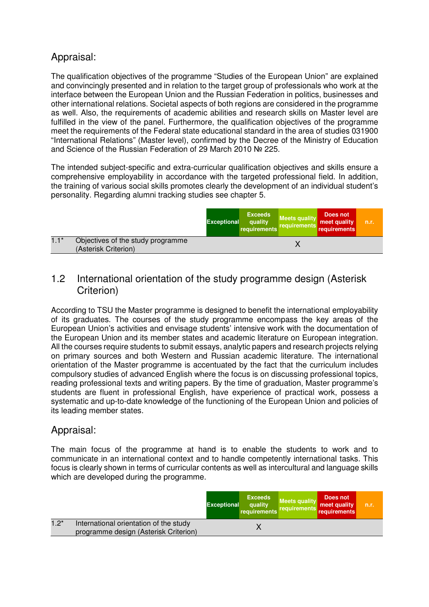## Appraisal:

The qualification objectives of the programme "Studies of the European Union" are explained and convincingly presented and in relation to the target group of professionals who work at the interface between the European Union and the Russian Federation in politics, businesses and other international relations. Societal aspects of both regions are considered in the programme as well. Also, the requirements of academic abilities and research skills on Master level are fulfilled in the view of the panel. Furthermore, the qualification objectives of the programme meet the requirements of the Federal state educational standard in the area of studies 031900 "International Relations" (Master level), confirmed by the Decree of the Ministry of Education and Science of the Russian Federation of 29 March 2010 № 225.

The intended subject-specific and extra-curricular qualification objectives and skills ensure a comprehensive employability in accordance with the targeted professional field. In addition, the training of various social skills promotes clearly the development of an individual student's personality. Regarding alumni tracking studies see chapter 5.

|        |                                                           | <b>Exceptional</b> | <b>Exceeds</b><br>quality<br>requirements | <b>Meets quality</b><br>requirements | Does not<br>meet quality<br>requirements | n.r. |
|--------|-----------------------------------------------------------|--------------------|-------------------------------------------|--------------------------------------|------------------------------------------|------|
| $1.1*$ | Objectives of the study programme<br>(Asterisk Criterion) |                    |                                           |                                      |                                          |      |

#### 1.2 International orientation of the study programme design (Asterisk Criterion)

According to TSU the Master programme is designed to benefit the international employability of its graduates. The courses of the study programme encompass the key areas of the European Union's activities and envisage students' intensive work with the documentation of the European Union and its member states and academic literature on European integration. All the courses require students to submit essays, analytic papers and research projects relying on primary sources and both Western and Russian academic literature. The international orientation of the Master programme is accentuated by the fact that the curriculum includes compulsory studies of advanced English where the focus is on discussing professional topics, reading professional texts and writing papers. By the time of graduation, Master programme's students are fluent in professional English, have experience of practical work, possess a systematic and up-to-date knowledge of the functioning of the European Union and policies of its leading member states.

## Appraisal:

The main focus of the programme at hand is to enable the students to work and to communicate in an international context and to handle competently international tasks. This focus is clearly shown in terms of curricular contents as well as intercultural and language skills which are developed during the programme.

|        |                                                                                 | <b>Exceptional</b> | <b>Exceeds</b><br>quality<br>requirements | <b>Meets quality</b><br>requirements | Does not<br>meet quality<br>requirements | n.r. |
|--------|---------------------------------------------------------------------------------|--------------------|-------------------------------------------|--------------------------------------|------------------------------------------|------|
| $1.2*$ | International orientation of the study<br>programme design (Asterisk Criterion) |                    |                                           |                                      |                                          |      |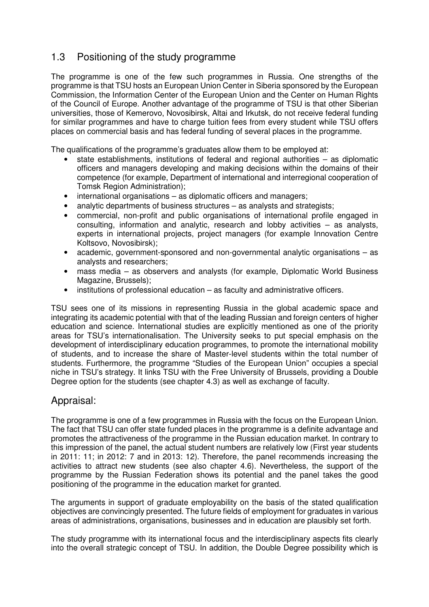## 1.3 Positioning of the study programme

The programme is one of the few such programmes in Russia. One strengths of the programme is that TSU hosts an European Union Center in Siberia sponsored by the European Commission, the Information Center of the European Union and the Center on Human Rights of the Council of Europe. Another advantage of the programme of TSU is that other Siberian universities, those of Kemerovo, Novosibirsk, Altai and Irkutsk, do not receive federal funding for similar programmes and have to charge tuition fees from every student while TSU offers places on commercial basis and has federal funding of several places in the programme.

The qualifications of the programme's graduates allow them to be employed at:

- state establishments, institutions of federal and regional authorities as diplomatic officers and managers developing and making decisions within the domains of their competence (for example, Department of international and interregional cooperation of Tomsk Region Administration);
- international organisations as diplomatic officers and managers;
- analytic departments of business structures as analysts and strategists;
- commercial, non-profit and public organisations of international profile engaged in consulting, information and analytic, research and lobby activities – as analysts, experts in international projects, project managers (for example Innovation Centre Koltsovo, Novosibirsk);
- academic, government-sponsored and non-governmental analytic organisations as analysts and researchers;
- mass media as observers and analysts (for example, Diplomatic World Business Magazine, Brussels);
- institutions of professional education as faculty and administrative officers.

TSU sees one of its missions in representing Russia in the global academic space and integrating its academic potential with that of the leading Russian and foreign centers of higher education and science. International studies are explicitly mentioned as one of the priority areas for TSU's internationalisation. The University seeks to put special emphasis on the development of interdisciplinary education programmes, to promote the international mobility of students, and to increase the share of Master-level students within the total number of students. Furthermore, the programme "Studies of the European Union" occupies a special niche in TSU's strategy. It links TSU with the Free University of Brussels, providing a Double Degree option for the students (see chapter 4.3) as well as exchange of faculty.

#### Appraisal:

The programme is one of a few programmes in Russia with the focus on the European Union. The fact that TSU can offer state funded places in the programme is a definite advantage and promotes the attractiveness of the programme in the Russian education market. In contrary to this impression of the panel, the actual student numbers are relatively low (First year students in 2011: 11; in 2012: 7 and in 2013: 12). Therefore, the panel recommends increasing the activities to attract new students (see also chapter 4.6). Nevertheless, the support of the programme by the Russian Federation shows its potential and the panel takes the good positioning of the programme in the education market for granted.

The arguments in support of graduate employability on the basis of the stated qualification objectives are convincingly presented. The future fields of employment for graduates in various areas of administrations, organisations, businesses and in education are plausibly set forth.

The study programme with its international focus and the interdisciplinary aspects fits clearly into the overall strategic concept of TSU. In addition, the Double Degree possibility which is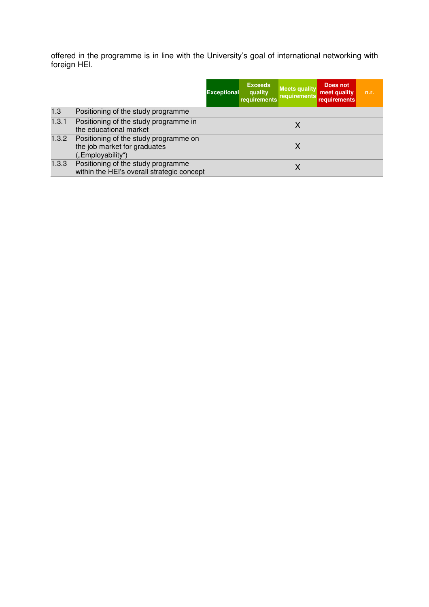offered in the programme is in line with the University's goal of international networking with foreign HEI.

|       |                                                                                            | <b>Exceptional</b> | <b>Exceeds</b><br>quality<br>requirements | <b>Meets quality</b><br>requirements | Does not<br>meet quality<br><b>requirements</b> | n.r. |
|-------|--------------------------------------------------------------------------------------------|--------------------|-------------------------------------------|--------------------------------------|-------------------------------------------------|------|
| 1.3   | Positioning of the study programme                                                         |                    |                                           |                                      |                                                 |      |
| 1.3.1 | Positioning of the study programme in<br>the educational market                            |                    |                                           | Χ                                    |                                                 |      |
| 1.3.2 | Positioning of the study programme on<br>the job market for graduates<br>("Employability") |                    |                                           |                                      |                                                 |      |
| 1.3.3 | Positioning of the study programme<br>within the HEI's overall strategic concept           |                    |                                           |                                      |                                                 |      |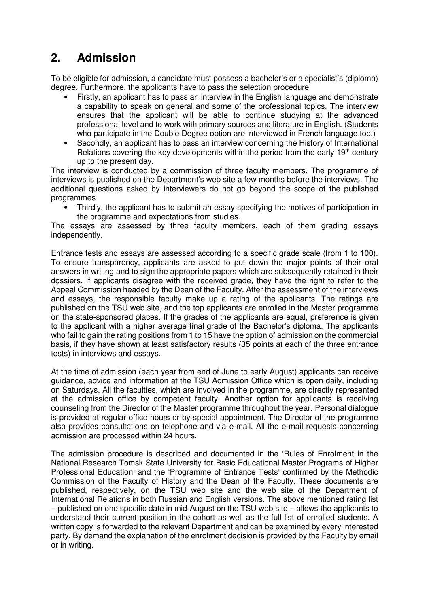# **2. Admission**

To be eligible for admission, a candidate must possess a bachelor's or a specialist's (diploma) degree. Furthermore, the applicants have to pass the selection procedure.

- Firstly, an applicant has to pass an interview in the English language and demonstrate a capability to speak on general and some of the professional topics. The interview ensures that the applicant will be able to continue studying at the advanced professional level and to work with primary sources and literature in English. (Students who participate in the Double Degree option are interviewed in French language too.)
- Secondly, an applicant has to pass an interview concerning the History of International Relations covering the key developments within the period from the early  $19<sup>th</sup>$  century up to the present day.

The interview is conducted by a commission of three faculty members. The programme of interviews is published on the Department's web site a few months before the interviews. The additional questions asked by interviewers do not go beyond the scope of the published programmes.

• Thirdly, the applicant has to submit an essay specifying the motives of participation in the programme and expectations from studies.

The essays are assessed by three faculty members, each of them grading essays independently.

Entrance tests and essays are assessed according to a specific grade scale (from 1 to 100). To ensure transparency, applicants are asked to put down the major points of their oral answers in writing and to sign the appropriate papers which are subsequently retained in their dossiers. If applicants disagree with the received grade, they have the right to refer to the Appeal Commission headed by the Dean of the Faculty. After the assessment of the interviews and essays, the responsible faculty make up a rating of the applicants. The ratings are published on the TSU web site, and the top applicants are enrolled in the Master programme on the state-sponsored places. If the grades of the applicants are equal, preference is given to the applicant with a higher average final grade of the Bachelor's diploma. The applicants who fail to gain the rating positions from 1 to 15 have the option of admission on the commercial basis, if they have shown at least satisfactory results (35 points at each of the three entrance tests) in interviews and essays.

At the time of admission (each year from end of June to early August) applicants can receive guidance, advice and information at the TSU Admission Office which is open daily, including on Saturdays. All the faculties, which are involved in the programme, are directly represented at the admission office by competent faculty. Another option for applicants is receiving counseling from the Director of the Master programme throughout the year. Personal dialogue is provided at regular office hours or by special appointment. The Director of the programme also provides consultations on telephone and via e-mail. All the e-mail requests concerning admission are processed within 24 hours.

The admission procedure is described and documented in the 'Rules of Enrolment in the National Research Tomsk State University for Basic Educational Master Programs of Higher Professional Education' and the 'Programme of Entrance Tests' confirmed by the Methodic Commission of the Faculty of History and the Dean of the Faculty. These documents are published, respectively, on the TSU web site and the web site of the Department of International Relations in both Russian and English versions. The above mentioned rating list – published on one specific date in mid-August on the TSU web site – allows the applicants to understand their current position in the cohort as well as the full list of enrolled students. A written copy is forwarded to the relevant Department and can be examined by every interested party. By demand the explanation of the enrolment decision is provided by the Faculty by email or in writing.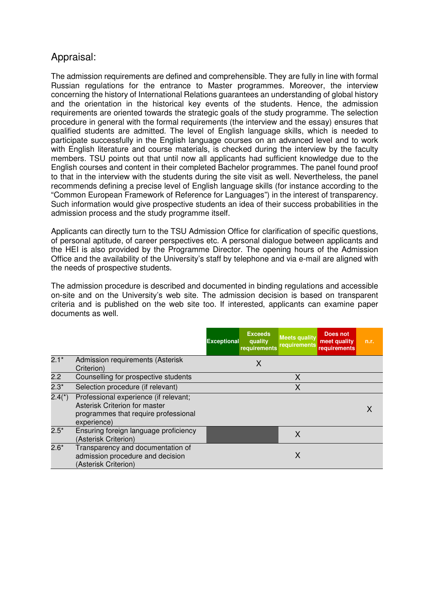## Appraisal:

The admission requirements are defined and comprehensible. They are fully in line with formal Russian regulations for the entrance to Master programmes. Moreover, the interview concerning the history of International Relations guarantees an understanding of global history and the orientation in the historical key events of the students. Hence, the admission requirements are oriented towards the strategic goals of the study programme. The selection procedure in general with the formal requirements (the interview and the essay) ensures that qualified students are admitted. The level of English language skills, which is needed to participate successfully in the English language courses on an advanced level and to work with English literature and course materials, is checked during the interview by the faculty members. TSU points out that until now all applicants had sufficient knowledge due to the English courses and content in their completed Bachelor programmes. The panel found proof to that in the interview with the students during the site visit as well. Nevertheless, the panel recommends defining a precise level of English language skills (for instance according to the "Common European Framework of Reference for Languages") in the interest of transparency. Such information would give prospective students an idea of their success probabilities in the admission process and the study programme itself.

Applicants can directly turn to the TSU Admission Office for clarification of specific questions, of personal aptitude, of career perspectives etc. A personal dialogue between applicants and the HEI is also provided by the Programme Director. The opening hours of the Admission Office and the availability of the University's staff by telephone and via e-mail are aligned with the needs of prospective students.

The admission procedure is described and documented in binding regulations and accessible on-site and on the University's web site. The admission decision is based on transparent criteria and is published on the web site too. If interested, applicants can examine paper documents as well.

|          |                                                                                                                               | <b>Exceptional</b> | <b>Exceeds</b><br>quality<br>requirements | <b>Meets quality</b><br>requirements | Does not<br>meet quality<br><b>requirements</b> | n.r. |
|----------|-------------------------------------------------------------------------------------------------------------------------------|--------------------|-------------------------------------------|--------------------------------------|-------------------------------------------------|------|
| $2.1*$   | Admission requirements (Asterisk<br>Criterion)                                                                                |                    | Χ                                         |                                      |                                                 |      |
| 2.2      | Counselling for prospective students                                                                                          |                    |                                           | X                                    |                                                 |      |
| $2.3*$   | Selection procedure (if relevant)                                                                                             |                    |                                           | X                                    |                                                 |      |
| $2.4(*)$ | Professional experience (if relevant;<br>Asterisk Criterion for master<br>programmes that require professional<br>experience) |                    |                                           |                                      |                                                 |      |
| $2.5*$   | Ensuring foreign language proficiency<br>(Asterisk Criterion)                                                                 |                    |                                           | X                                    |                                                 |      |
| $2.6*$   | Transparency and documentation of<br>admission procedure and decision<br>(Asterisk Criterion)                                 |                    |                                           | Χ                                    |                                                 |      |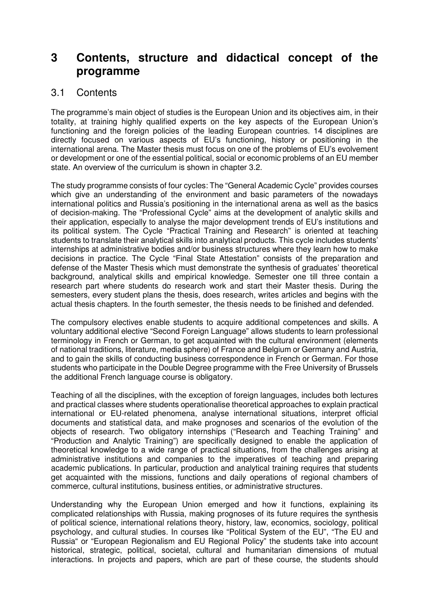## **3 Contents, structure and didactical concept of the programme**

### 3.1 Contents

The programme's main object of studies is the European Union and its objectives aim, in their totality, at training highly qualified experts on the key aspects of the European Union's functioning and the foreign policies of the leading European countries. 14 disciplines are directly focused on various aspects of EU's functioning, history or positioning in the international arena. The Master thesis must focus on one of the problems of EU's evolvement or development or one of the essential political, social or economic problems of an EU member state. An overview of the curriculum is shown in chapter 3.2.

The study programme consists of four cycles: The "General Academic Cycle" provides courses which give an understanding of the environment and basic parameters of the nowadays international politics and Russia's positioning in the international arena as well as the basics of decision-making. The "Professional Cycle" aims at the development of analytic skills and their application, especially to analyse the major development trends of EU's institutions and its political system. The Cycle "Practical Training and Research" is oriented at teaching students to translate their analytical skills into analytical products. This cycle includes students' internships at administrative bodies and/or business structures where they learn how to make decisions in practice. The Cycle "Final State Attestation" consists of the preparation and defense of the Master Thesis which must demonstrate the synthesis of graduates' theoretical background, analytical skills and empirical knowledge. Semester one till three contain a research part where students do research work and start their Master thesis. During the semesters, every student plans the thesis, does research, writes articles and begins with the actual thesis chapters. In the fourth semester, the thesis needs to be finished and defended.

The compulsory electives enable students to acquire additional competences and skills. A voluntary additional elective "Second Foreign Language" allows students to learn professional terminology in French or German, to get acquainted with the cultural environment (elements of national traditions, literature, media sphere) of France and Belgium or Germany and Austria, and to gain the skills of conducting business correspondence in French or German. For those students who participate in the Double Degree programme with the Free University of Brussels the additional French language course is obligatory.

Teaching of all the disciplines, with the exception of foreign languages, includes both lectures and practical classes where students operationalise theoretical approaches to explain practical international or EU-related phenomena, analyse international situations, interpret official documents and statistical data, and make prognoses and scenarios of the evolution of the objects of research. Two obligatory internships ("Research and Teaching Training" and "Production and Analytic Training") are specifically designed to enable the application of theoretical knowledge to a wide range of practical situations, from the challenges arising at administrative institutions and companies to the imperatives of teaching and preparing academic publications. In particular, production and analytical training requires that students get acquainted with the missions, functions and daily operations of regional chambers of commerce, cultural institutions, business entities, or administrative structures.

Understanding why the European Union emerged and how it functions, explaining its complicated relationships with Russia, making prognoses of its future requires the synthesis of political science, international relations theory, history, law, economics, sociology, political psychology, and cultural studies. In courses like "Political System of the EU", "The EU and Russia" or "European Regionalism and EU Regional Policy" the students take into account historical, strategic, political, societal, cultural and humanitarian dimensions of mutual interactions. In projects and papers, which are part of these course, the students should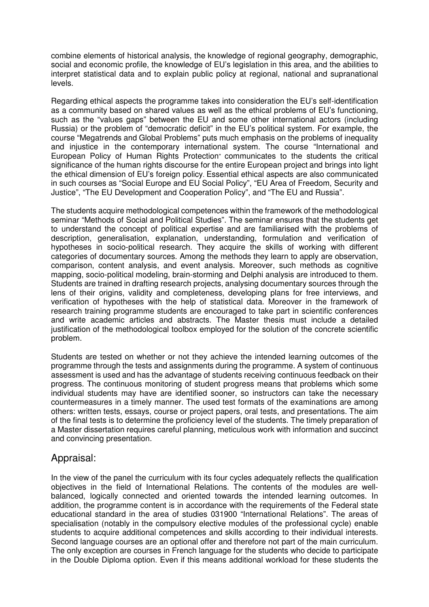combine elements of historical analysis, the knowledge of regional geography, demographic, social and economic profile, the knowledge of EU's legislation in this area, and the abilities to interpret statistical data and to explain public policy at regional, national and supranational levels.

Regarding ethical aspects the programme takes into consideration the EU's self-identification as a community based on shared values as well as the ethical problems of EU's functioning, such as the "values gaps" between the EU and some other international actors (including Russia) or the problem of "democratic deficit" in the EU's political system. For example, the course "Megatrends and Global Problems" puts much emphasis on the problems of inequality and injustice in the contemporary international system. The course "International and European Policy of Human Rights Protection" communicates to the students the critical significance of the human rights discourse for the entire European project and brings into light the ethical dimension of EU's foreign policy. Essential ethical aspects are also communicated in such courses as "Social Europe and EU Social Policy", "EU Area of Freedom, Security and Justice", "The EU Development and Cooperation Policy", and "The EU and Russia".

The students acquire methodological competences within the framework of the methodological seminar "Methods of Social and Political Studies". The seminar ensures that the students get to understand the concept of political expertise and are familiarised with the problems of description, generalisation, explanation, understanding, formulation and verification of hypotheses in socio-political research. They acquire the skills of working with different categories of documentary sources. Among the methods they learn to apply are observation, comparison, content analysis, and event analysis. Moreover, such methods as cognitive mapping, socio-political modeling, brain-storming and Delphi analysis are introduced to them. Students are trained in drafting research projects, analysing documentary sources through the lens of their origins, validity and completeness, developing plans for free interviews, and verification of hypotheses with the help of statistical data. Moreover in the framework of research training programme students are encouraged to take part in scientific conferences and write academic articles and abstracts. The Master thesis must include a detailed justification of the methodological toolbox employed for the solution of the concrete scientific problem.

Students are tested on whether or not they achieve the intended learning outcomes of the programme through the tests and assignments during the programme. A system of continuous assessment is used and has the advantage of students receiving continuous feedback on their progress. The continuous monitoring of student progress means that problems which some individual students may have are identified sooner, so instructors can take the necessary countermeasures in a timely manner. The used test formats of the examinations are among others: written tests, essays, course or project papers, oral tests, and presentations. The aim of the final tests is to determine the proficiency level of the students. The timely preparation of a Master dissertation requires careful planning, meticulous work with information and succinct and convincing presentation.

#### Appraisal:

In the view of the panel the curriculum with its four cycles adequately reflects the qualification objectives in the field of International Relations. The contents of the modules are wellbalanced, logically connected and oriented towards the intended learning outcomes. In addition, the programme content is in accordance with the requirements of the Federal state educational standard in the area of studies 031900 "International Relations". The areas of specialisation (notably in the compulsory elective modules of the professional cycle) enable students to acquire additional competences and skills according to their individual interests. Second language courses are an optional offer and therefore not part of the main curriculum. The only exception are courses in French language for the students who decide to participate in the Double Diploma option. Even if this means additional workload for these students the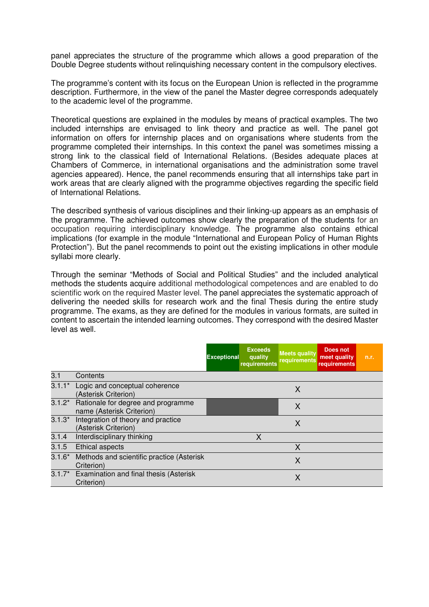panel appreciates the structure of the programme which allows a good preparation of the Double Degree students without relinquishing necessary content in the compulsory electives.

The programme's content with its focus on the European Union is reflected in the programme description. Furthermore, in the view of the panel the Master degree corresponds adequately to the academic level of the programme.

Theoretical questions are explained in the modules by means of practical examples. The two included internships are envisaged to link theory and practice as well. The panel got information on offers for internship places and on organisations where students from the programme completed their internships. In this context the panel was sometimes missing a strong link to the classical field of International Relations. (Besides adequate places at Chambers of Commerce, in international organisations and the administration some travel agencies appeared). Hence, the panel recommends ensuring that all internships take part in work areas that are clearly aligned with the programme objectives regarding the specific field of International Relations.

The described synthesis of various disciplines and their linking-up appears as an emphasis of the programme. The achieved outcomes show clearly the preparation of the students for an occupation requiring interdisciplinary knowledge. The programme also contains ethical implications (for example in the module "International and European Policy of Human Rights Protection"). But the panel recommends to point out the existing implications in other module syllabi more clearly.

Through the seminar "Methods of Social and Political Studies" and the included analytical methods the students acquire additional methodological competences and are enabled to do scientific work on the required Master level. The panel appreciates the systematic approach of delivering the needed skills for research work and the final Thesis during the entire study programme. The exams, as they are defined for the modules in various formats, are suited in content to ascertain the intended learning outcomes. They correspond with the desired Master level as well.

|          |                                                                 | <b>Exceptional</b> | <b>Exceeds</b><br>quality<br>requirements | <b>Meets quality</b><br>requirements | Does not<br>meet quality<br><b>requirements</b> | n.r. |
|----------|-----------------------------------------------------------------|--------------------|-------------------------------------------|--------------------------------------|-------------------------------------------------|------|
| 3.1      | Contents                                                        |                    |                                           |                                      |                                                 |      |
| $3.1.1*$ | Logic and conceptual coherence<br>(Asterisk Criterion)          |                    |                                           | X                                    |                                                 |      |
| $3.1.2*$ | Rationale for degree and programme<br>name (Asterisk Criterion) |                    |                                           | X                                    |                                                 |      |
| $3.1.3*$ | Integration of theory and practice<br>(Asterisk Criterion)      |                    |                                           | X                                    |                                                 |      |
| 3.1.4    | Interdisciplinary thinking                                      |                    | X                                         |                                      |                                                 |      |
| 3.1.5    | <b>Ethical aspects</b>                                          |                    |                                           | X                                    |                                                 |      |
| $3.1.6*$ | Methods and scientific practice (Asterisk<br>Criterion)         |                    |                                           | X                                    |                                                 |      |
| $3.1.7*$ | Examination and final thesis (Asterisk<br>Criterion)            |                    |                                           | X                                    |                                                 |      |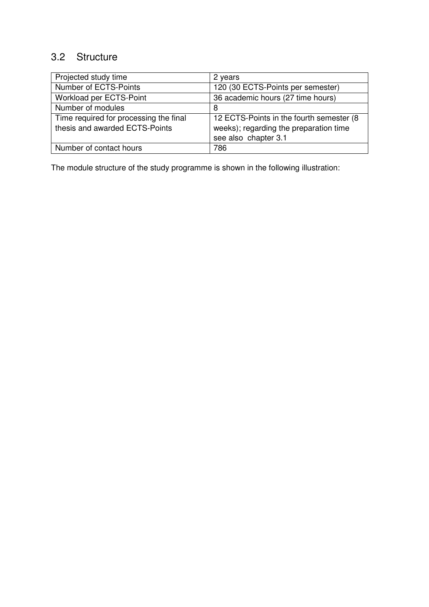## 3.2 Structure

| Projected study time                   | 2 years                                  |
|----------------------------------------|------------------------------------------|
| Number of ECTS-Points                  | 120 (30 ECTS-Points per semester)        |
| Workload per ECTS-Point                | 36 academic hours (27 time hours)        |
| Number of modules                      | 8                                        |
| Time required for processing the final | 12 ECTS-Points in the fourth semester (8 |
| thesis and awarded ECTS-Points         | weeks); regarding the preparation time   |
|                                        | see also chapter 3.1                     |
| Number of contact hours                | 786                                      |

The module structure of the study programme is shown in the following illustration: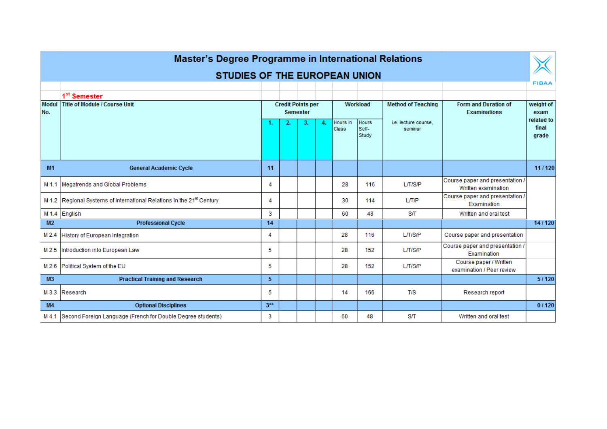|                     | <b>Master's Degree Programme in International Relations</b>                       |                                             |    |    |    |                   |                                |                                 |                                                        |                              |  |
|---------------------|-----------------------------------------------------------------------------------|---------------------------------------------|----|----|----|-------------------|--------------------------------|---------------------------------|--------------------------------------------------------|------------------------------|--|
|                     | <b>STUDIES OF THE EUROPEAN UNION</b>                                              |                                             |    |    |    |                   |                                |                                 |                                                        |                              |  |
|                     |                                                                                   |                                             |    |    |    |                   |                                |                                 |                                                        | <b>FIBAA</b>                 |  |
|                     | 1 <sup>st</sup> Semester                                                          |                                             |    |    |    |                   |                                |                                 |                                                        |                              |  |
| <b>Modul</b><br>No. | Title of Module / Course Unit                                                     | <b>Credit Points per</b><br><b>Semester</b> |    |    |    |                   | Workload                       | <b>Method of Teaching</b>       | <b>Form and Duration of</b><br><b>Examinations</b>     | weight of<br>exam            |  |
|                     |                                                                                   | 1.                                          | 2. | З. | 4. | Hours in<br>Class | <b>Hours</b><br>Self-<br>Study | i.e. lecture course.<br>seminar |                                                        | related to<br>final<br>grade |  |
| M1                  | <b>General Academic Cycle</b>                                                     | 11                                          |    |    |    |                   |                                |                                 |                                                        | 11/120                       |  |
| M 1.1               | Megatrends and Global Problems                                                    | 4                                           |    |    |    | 28                | 116                            | L/T/S/P                         | Course paper and presentation /<br>Written examination |                              |  |
|                     | M 1.2 Regional Systems of International Relations in the 21 <sup>st</sup> Century | 4                                           |    |    |    | 30                | 114                            | L/T/P                           | Course paper and presentation /<br>Examination         |                              |  |
|                     | M 1.4 English                                                                     | 3                                           |    |    |    | 60                | 48                             | S/T                             | Written and oral test                                  |                              |  |
| M <sub>2</sub>      | <b>Professional Cycle</b>                                                         | 14                                          |    |    |    |                   |                                |                                 |                                                        | 14/120                       |  |
|                     | M 2.4 History of European Integration                                             | 4                                           |    |    |    | 28                | 116                            | L/T/S/P                         | Course paper and presentation                          |                              |  |
|                     | M 2.5 Introduction into European Law                                              | 5                                           |    |    |    | 28                | 152                            | L/T/S/P                         | Course paper and presentation /<br>Examination         |                              |  |
|                     | M 2.6 Political System of the EU                                                  | 5                                           |    |    |    | 28                | 152                            | L/T/S/P                         | Course paper / Written<br>examination / Peer review    |                              |  |
| M3                  | <b>Practical Training and Research</b>                                            | 5                                           |    |    |    |                   |                                |                                 |                                                        | 5/120                        |  |
|                     | M 3.3 Research                                                                    | 5                                           |    |    |    | 14                | 166                            | <b>T/S</b>                      | Research report                                        |                              |  |
| M4                  | <b>Optional Disciplines</b>                                                       | $3**$                                       |    |    |    |                   |                                |                                 |                                                        | 0/120                        |  |
|                     | M 4.1 Second Foreign Language (French for Double Degree students)                 | 3                                           |    |    |    | 60                | 48                             | <b>S/T</b>                      | Written and oral test                                  |                              |  |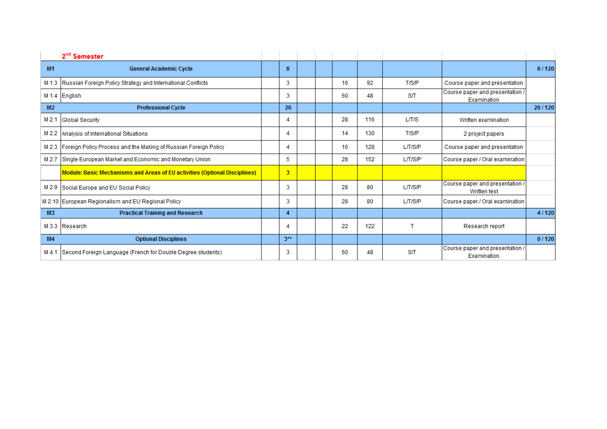|                  | 2 <sup>nd</sup> Semester                                                   |                |  |    |     |         |                                                 |        |
|------------------|----------------------------------------------------------------------------|----------------|--|----|-----|---------|-------------------------------------------------|--------|
| M1               | <b>General Academic Cycle</b>                                              | 6              |  |    |     |         |                                                 | 6/120  |
|                  | M 1.3 Russian Foreign Policy Strategy and International Conflicts          | 3              |  | 16 | 92  | T/S/P   | Course paper and presentation                   |        |
|                  | M 1.4 English                                                              | 3              |  | 60 | 48  | S/T     | Course paper and presentation /<br>Examination  |        |
| M2               | <b>Professional Cycle</b>                                                  | 20             |  |    |     |         |                                                 | 20/120 |
| M <sub>2.1</sub> | <b>Global Security</b>                                                     | 4              |  | 28 | 116 | L/T/S   | Written examination                             |        |
|                  | M 2.2 Analysis of International Situations                                 | 4              |  | 14 | 130 | T/S/P   | 2 project papers                                |        |
|                  | M 2.3 Foreign Policy Process and the Making of Russian Foreign Policy      | 4              |  | 16 | 128 | L/T/S/P | Course paper and presentation                   |        |
| M 2.7            | Single European Market and Economic and Monetary Union                     | 5.             |  | 28 | 152 | L/T/S/P | Course paper / Oral examination                 |        |
|                  | Module: Basic Mechanisms and Areas of EU activities (Optional Disciplines) | 3 <sup>1</sup> |  |    |     |         |                                                 |        |
|                  | M 2.9 Social Europe and EU Social Policy                                   | 3              |  | 28 | 80  | LT/SP   | Course paper and presentation /<br>Written test |        |
|                  | M 2.10 European Regionalism and EU Regional Policy                         | 3              |  | 28 | 80  | L/T/S/P | Course paper / Oral examination                 |        |
| M3               | <b>Practical Training and Research</b>                                     | $\overline{4}$ |  |    |     |         |                                                 | 4/120  |
|                  | M 3.3 Research                                                             | 4              |  | 22 | 122 |         | Research report                                 |        |
| M4               | <b>Optional Disciplines</b>                                                | $3**$          |  |    |     |         |                                                 | 0/120  |
| $M$ 4.1          | Second Foreign Language (French for Double Degree students)                | 3              |  | 60 | 48  | S/T     | Course paper and presentation /<br>Examination  |        |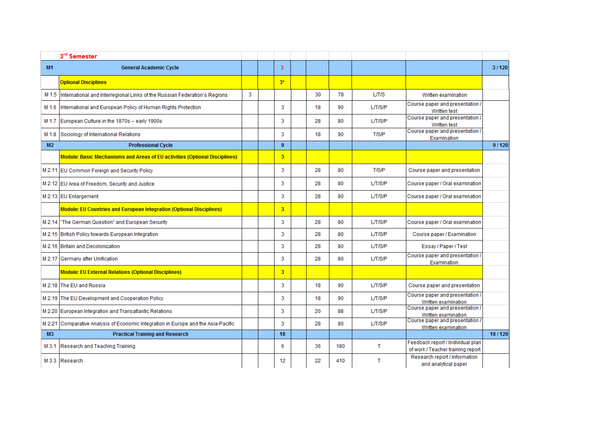|                | 3rd Semester                                                                      |   |                |    |     |         |                                                                        |        |
|----------------|-----------------------------------------------------------------------------------|---|----------------|----|-----|---------|------------------------------------------------------------------------|--------|
| <b>M1</b>      | <b>General Academic Cycle</b>                                                     |   | 3              |    |     |         |                                                                        | 3/120  |
|                | <b>Optional Disciplines</b>                                                       |   | $3*$           |    |     |         |                                                                        |        |
| M 1.5          | International and Interregional Links of the Russian Federation's Regions         | 3 |                | 30 | 78  | L/T/S   | Written examination                                                    |        |
| M 1.6          | International and European Policy of Human Rights Protection                      |   | 3              | 18 | 90  | L/T/S/P | Course paper and presentation /<br><b>Written test</b>                 |        |
| M 1.7          | European Culture in the 1870s - early 1900s                                       |   | 3              | 28 | 80  | L/T/S/P | Course paper and presentation /<br>Written test                        |        |
| M 1.8          | Sociology of International Relations                                              |   | 3              | 18 | 90  | T/S/P   | Course paper and presentation /<br>Examination                         |        |
| M <sub>2</sub> | <b>Professional Cycle</b>                                                         |   | 9              |    |     |         |                                                                        | 9/120  |
|                | <b>Module: Basic Mechanisms and Areas of EU activities (Optional Disciplines)</b> |   | $\overline{3}$ |    |     |         |                                                                        |        |
|                | M 2.11 EU Common Foreign and Security Policy                                      |   | $\overline{3}$ | 28 | 80  | T/S/P   | Course paper and presentation                                          |        |
|                | M 2.12 EU Area of Freedom, Security and Justice                                   |   | 3              | 28 | 80  | L/T/S/P | Course paper / Oral examination                                        |        |
|                | M 2.13 EU Enlargement                                                             |   | 3              | 28 | 80  | L/T/S/P | Course paper / Oral examination                                        |        |
|                | <b>Module: EU Countries and European Integration (Optional Disciplines)</b>       |   | $\overline{3}$ |    |     |         |                                                                        |        |
|                | M 2.14   "The German Question" and European Security                              |   | 3              | 28 | 80  | L/T/S/P | Course paper / Oral examination                                        |        |
|                | M 2.15 British Policy towards European Integration                                |   | $\overline{3}$ | 28 | 80  | L/T/S/P | Course paper / Examination                                             |        |
|                | M 2.16 Britain and Decolonization                                                 |   | 3              | 28 | 80  | L/T/S/P | Essay / Paper / Test                                                   |        |
|                | M 2.17 Germany after Unification                                                  |   | 3              | 28 | 80  | L/T/S/P | Course paper and presentation /<br>Examination                         |        |
|                | <b>Module: EU External Relations (Optional Disciplines)</b>                       |   | $\overline{3}$ |    |     |         |                                                                        |        |
|                | M 2.18 The EU and Russia                                                          |   | 3              | 18 | 90  | L/T/S/P | Course paper and presentation                                          |        |
|                | M 2.19 The EU Development and Cooperation Policy                                  |   | 3              | 18 | 90  | L/T/S/P | Course paper and presentation /<br>Written examination                 |        |
|                | M 2.20 European Integration and Transatlantic Relations                           |   | 3              | 20 | 88  | L/T/S/P | Course paper and presentation /<br>Written examination                 |        |
| M 2.21         | Comparative Analysis of Economic Integration in Europe and the Asia-Pacific       |   | 3              | 28 | 80  | LT/SP   | Course paper and presentation /<br>Written examination                 |        |
| M3             | <b>Practical Training and Research</b>                                            |   | 18             |    |     |         |                                                                        | 18/120 |
| M 3.1          | Research and Teaching Training                                                    |   | -6             | 36 | 180 | т       | Feedback report / Individual plan<br>of work / Teacher training report |        |
|                | M 3.3 Research                                                                    |   | 12             | 22 | 410 | т       | Research report / Information<br>and analytical paper                  |        |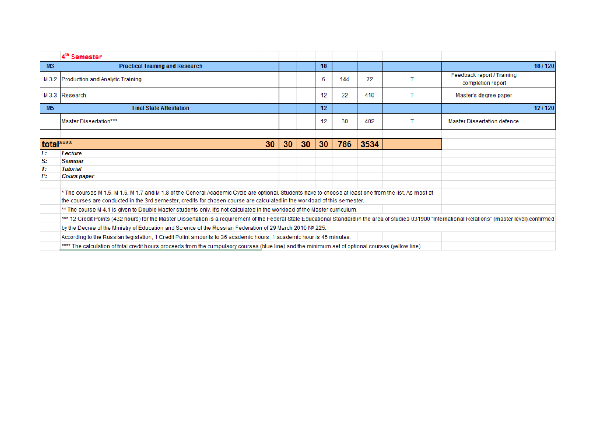|                | 4 <sup>th</sup> Semester                                                                                                                                                                                                                                                            |    |    |    |    |     |      |                                                 |        |
|----------------|-------------------------------------------------------------------------------------------------------------------------------------------------------------------------------------------------------------------------------------------------------------------------------------|----|----|----|----|-----|------|-------------------------------------------------|--------|
| M <sub>3</sub> | <b>Practical Training and Research</b>                                                                                                                                                                                                                                              |    |    |    | 18 |     |      |                                                 | 18/120 |
|                | M 3.2 Production and Analytic Training                                                                                                                                                                                                                                              |    |    |    | 6  | 144 | 72   | Feedback report / Training<br>completion report |        |
|                | M 3.3 Research                                                                                                                                                                                                                                                                      |    |    |    | 12 | 22  | 410  | Master's degree paper                           |        |
| M <sub>5</sub> | <b>Final State Attestation</b>                                                                                                                                                                                                                                                      |    |    |    | 12 |     |      |                                                 | 12/120 |
|                | Master Dissertation***                                                                                                                                                                                                                                                              |    |    |    | 12 | 30  | 402  | <b>Master Dissertation defence</b>              |        |
|                |                                                                                                                                                                                                                                                                                     |    |    |    |    |     |      |                                                 |        |
| total****      |                                                                                                                                                                                                                                                                                     | 30 | 30 | 30 | 30 | 786 | 3534 |                                                 |        |
| Ŀ.             | Lecture                                                                                                                                                                                                                                                                             |    |    |    |    |     |      |                                                 |        |
| S:             | <b>Seminar</b>                                                                                                                                                                                                                                                                      |    |    |    |    |     |      |                                                 |        |
| Т:             | <b>Tutorial</b>                                                                                                                                                                                                                                                                     |    |    |    |    |     |      |                                                 |        |
| P:             | <b>Cours paper</b>                                                                                                                                                                                                                                                                  |    |    |    |    |     |      |                                                 |        |
|                | * The courses M 1.5, M 1.6, M 1.7 and M 1.8 of the General Academic Cycle are optional. Students have to choose at least one from the list. As most of<br>the courses are conducted in the 3rd semester, credits for chosen course are calculated in the workload of this semester. |    |    |    |    |     |      |                                                 |        |
|                | ** The course M 4.1 is given to Double Master students only. It's not calculated in the workload of the Master curriculum.                                                                                                                                                          |    |    |    |    |     |      |                                                 |        |
|                | *** 12 Credit Points (432 hours) for the Master Dissertation is a requirement of the Federal State Educational Standard in the area of studies 031900 "International Relations" (master level),confirmed                                                                            |    |    |    |    |     |      |                                                 |        |
|                | by the Decree of the Ministry of Education and Science of the Russian Federation of 29 March 2010 № 225.                                                                                                                                                                            |    |    |    |    |     |      |                                                 |        |
|                | According to the Russian legislation, 1 Credit Polint amounts to 36 academic hours; 1 academic hour is 45 minutes.                                                                                                                                                                  |    |    |    |    |     |      |                                                 |        |
|                | **** The calculation of total credit hours proceeds from the cumpulsory courses (blue line) and the minimum set of optional courses (yellow line).                                                                                                                                  |    |    |    |    |     |      |                                                 |        |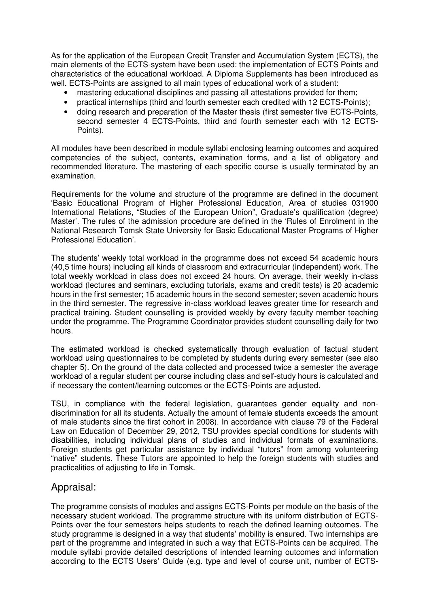As for the application of the European Credit Transfer and Accumulation System (ECTS), the main elements of the ECTS-system have been used: the implementation of ECTS Points and characteristics of the educational workload. A Diploma Supplements has been introduced as well. ECTS-Points are assigned to all main types of educational work of a student:

- mastering educational disciplines and passing all attestations provided for them;
- practical internships (third and fourth semester each credited with 12 ECTS-Points);
- doing research and preparation of the Master thesis (first semester five ECTS-Points, second semester 4 ECTS-Points, third and fourth semester each with 12 ECTS-Points).

All modules have been described in module syllabi enclosing learning outcomes and acquired competencies of the subject, contents, examination forms, and a list of obligatory and recommended literature. The mastering of each specific course is usually terminated by an examination.

Requirements for the volume and structure of the programme are defined in the document 'Basic Educational Program of Higher Professional Education, Area of studies 031900 International Relations, "Studies of the European Union", Graduate's qualification (degree) Master'. The rules of the admission procedure are defined in the 'Rules of Enrolment in the National Research Tomsk State University for Basic Educational Master Programs of Higher Professional Education'.

The students' weekly total workload in the programme does not exceed 54 academic hours (40,5 time hours) including all kinds of classroom and extracurricular (independent) work. The total weekly workload in class does not exceed 24 hours. On average, their weekly in-class workload (lectures and seminars, excluding tutorials, exams and credit tests) is 20 academic hours in the first semester; 15 academic hours in the second semester; seven academic hours in the third semester. The regressive in-class workload leaves greater time for research and practical training. Student counselling is provided weekly by every faculty member teaching under the programme. The Programme Coordinator provides student counselling daily for two hours.

The estimated workload is checked systematically through evaluation of factual student workload using questionnaires to be completed by students during every semester (see also chapter 5). On the ground of the data collected and processed twice a semester the average workload of a regular student per course including class and self-study hours is calculated and if necessary the content/learning outcomes or the ECTS-Points are adjusted.

TSU, in compliance with the federal legislation, guarantees gender equality and nondiscrimination for all its students. Actually the amount of female students exceeds the amount of male students since the first cohort in 2008). In accordance with clause 79 of the Federal Law on Education of December 29, 2012, TSU provides special conditions for students with disabilities, including individual plans of studies and individual formats of examinations. Foreign students get particular assistance by individual "tutors" from among volunteering "native" students. These Tutors are appointed to help the foreign students with studies and practicalities of adjusting to life in Tomsk.

#### Appraisal:

The programme consists of modules and assigns ECTS-Points per module on the basis of the necessary student workload. The programme structure with its uniform distribution of ECTS-Points over the four semesters helps students to reach the defined learning outcomes. The study programme is designed in a way that students' mobility is ensured. Two internships are part of the programme and integrated in such a way that ECTS-Points can be acquired. The module syllabi provide detailed descriptions of intended learning outcomes and information according to the ECTS Users' Guide (e.g. type and level of course unit, number of ECTS-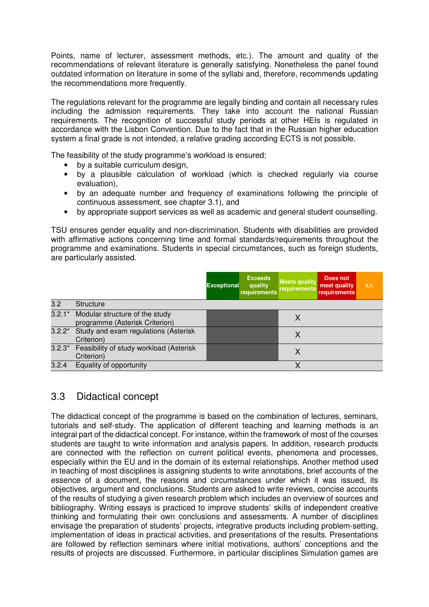Points, name of lecturer, assessment methods, etc.). The amount and quality of the recommendations of relevant literature is generally satisfying. Nonetheless the panel found outdated information on literature in some of the syllabi and, therefore, recommends updating the recommendations more frequently.

The regulations relevant for the programme are legally binding and contain all necessary rules including the admission requirements. They take into account the national Russian requirements. The recognition of successful study periods at other HEIs is regulated in accordance with the Lisbon Convention. Due to the fact that in the Russian higher education system a final grade is not intended, a relative grading according ECTS is not possible.

The feasibility of the study programme's workload is ensured:

- by a suitable curriculum design,
- by a plausible calculation of workload (which is checked regularly via course evaluation),
- by an adequate number and frequency of examinations following the principle of continuous assessment, see chapter 3.1), and
- by appropriate support services as well as academic and general student counselling.

TSU ensures gender equality and non-discrimination. Students with disabilities are provided with affirmative actions concerning time and formal standards/requirements throughout the programme and examinations. Students in special circumstances, such as foreign students, are particularly assisted.

|          |                                                                  | <b>Exceptional</b> | <b>Exceeds</b><br>quality<br><b>requirements</b> | <b>Meets quality</b><br>requirements | Does not<br>meet quality<br><b>requirements</b> | n.r. |
|----------|------------------------------------------------------------------|--------------------|--------------------------------------------------|--------------------------------------|-------------------------------------------------|------|
| 3.2      | <b>Structure</b>                                                 |                    |                                                  |                                      |                                                 |      |
| $3.2.1*$ | Modular structure of the study<br>programme (Asterisk Criterion) |                    |                                                  | X                                    |                                                 |      |
| $3.2.2*$ | Study and exam regulations (Asterisk<br>Criterion)               |                    |                                                  | Χ                                    |                                                 |      |
| $3.2.3*$ | Feasibility of study workload (Asterisk<br>Criterion)            |                    |                                                  | X                                    |                                                 |      |
| 3.2.4    | Equality of opportunity                                          |                    |                                                  | Χ                                    |                                                 |      |

#### 3.3 Didactical concept

The didactical concept of the programme is based on the combination of lectures, seminars, tutorials and self-study. The application of different teaching and learning methods is an integral part of the didactical concept. For instance, within the framework of most of the courses students are taught to write information and analysis papers. In addition, research products are connected with the reflection on current political events, phenomena and processes, especially within the EU and in the domain of its external relationships. Another method used in teaching of most disciplines is assigning students to write annotations, brief accounts of the essence of a document, the reasons and circumstances under which it was issued, its objectives, argument and conclusions. Students are asked to write reviews, concise accounts of the results of studying a given research problem which includes an overview of sources and bibliography. Writing essays is practiced to improve students' skills of independent creative thinking and formulating their own conclusions and assessments. A number of disciplines envisage the preparation of students' projects, integrative products including problem-setting, implementation of ideas in practical activities, and presentations of the results. Presentations are followed by reflection seminars where initial motivations, authors' conceptions and the results of projects are discussed. Furthermore, in particular disciplines Simulation games are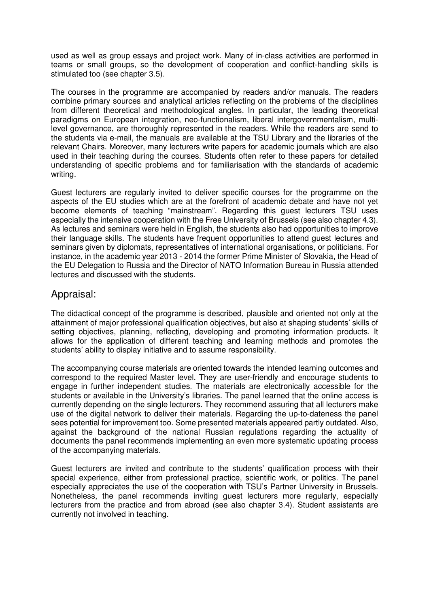used as well as group essays and project work. Many of in-class activities are performed in teams or small groups, so the development of cooperation and conflict-handling skills is stimulated too (see chapter 3.5).

The courses in the programme are accompanied by readers and/or manuals. The readers combine primary sources and analytical articles reflecting on the problems of the disciplines from different theoretical and methodological angles. In particular, the leading theoretical paradigms on European integration, neo-functionalism, liberal intergovernmentalism, multilevel governance, are thoroughly represented in the readers. While the readers are send to the students via e-mail, the manuals are available at the TSU Library and the libraries of the relevant Chairs. Moreover, many lecturers write papers for academic journals which are also used in their teaching during the courses. Students often refer to these papers for detailed understanding of specific problems and for familiarisation with the standards of academic writing.

Guest lecturers are regularly invited to deliver specific courses for the programme on the aspects of the EU studies which are at the forefront of academic debate and have not yet become elements of teaching "mainstream". Regarding this guest lecturers TSU uses especially the intensive cooperation with the Free University of Brussels (see also chapter 4.3). As lectures and seminars were held in English, the students also had opportunities to improve their language skills. The students have frequent opportunities to attend guest lectures and seminars given by diplomats, representatives of international organisations, or politicians. For instance, in the academic year 2013 - 2014 the former Prime Minister of Slovakia, the Head of the EU Delegation to Russia and the Director of NATO Information Bureau in Russia attended lectures and discussed with the students.

#### Appraisal:

The didactical concept of the programme is described, plausible and oriented not only at the attainment of major professional qualification objectives, but also at shaping students' skills of setting objectives, planning, reflecting, developing and promoting information products. It allows for the application of different teaching and learning methods and promotes the students' ability to display initiative and to assume responsibility.

The accompanying course materials are oriented towards the intended learning outcomes and correspond to the required Master level. They are user-friendly and encourage students to engage in further independent studies. The materials are electronically accessible for the students or available in the University's libraries. The panel learned that the online access is currently depending on the single lecturers. They recommend assuring that all lecturers make use of the digital network to deliver their materials. Regarding the up-to-dateness the panel sees potential for improvement too. Some presented materials appeared partly outdated. Also, against the background of the national Russian regulations regarding the actuality of documents the panel recommends implementing an even more systematic updating process of the accompanying materials.

Guest lecturers are invited and contribute to the students' qualification process with their special experience, either from professional practice, scientific work, or politics. The panel especially appreciates the use of the cooperation with TSU's Partner University in Brussels. Nonetheless, the panel recommends inviting guest lecturers more regularly, especially lecturers from the practice and from abroad (see also chapter 3.4). Student assistants are currently not involved in teaching.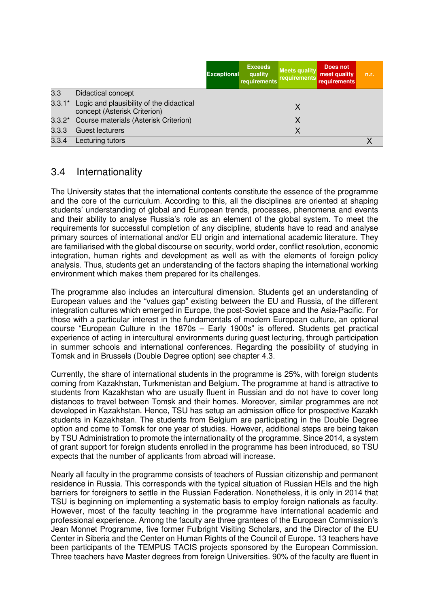|          |                                                                          | <b>Exceptional</b> | <b>Exceeds</b><br>quality<br>requirements | <b>Meets quality</b><br>requirements | Does not<br>meet quality<br><b>requirements</b> | n.r. |
|----------|--------------------------------------------------------------------------|--------------------|-------------------------------------------|--------------------------------------|-------------------------------------------------|------|
| 3.3      | <b>Didactical concept</b>                                                |                    |                                           |                                      |                                                 |      |
| $3.3.1*$ | Logic and plausibility of the didactical<br>concept (Asterisk Criterion) |                    |                                           | X                                    |                                                 |      |
|          | 3.3.2* Course materials (Asterisk Criterion)                             |                    |                                           |                                      |                                                 |      |
| 3.3.3    | Guest lecturers                                                          |                    |                                           |                                      |                                                 |      |
| 3.3.4    | Lecturing tutors                                                         |                    |                                           |                                      |                                                 |      |

#### 3.4 Internationality

The University states that the international contents constitute the essence of the programme and the core of the curriculum. According to this, all the disciplines are oriented at shaping students' understanding of global and European trends, processes, phenomena and events and their ability to analyse Russia's role as an element of the global system. To meet the requirements for successful completion of any discipline, students have to read and analyse primary sources of international and/or EU origin and international academic literature. They are familiarised with the global discourse on security, world order, conflict resolution, economic integration, human rights and development as well as with the elements of foreign policy analysis. Thus, students get an understanding of the factors shaping the international working environment which makes them prepared for its challenges.

The programme also includes an intercultural dimension. Students get an understanding of European values and the "values gap" existing between the EU and Russia, of the different integration cultures which emerged in Europe, the post-Soviet space and the Asia-Pacific. For those with a particular interest in the fundamentals of modern European culture, an optional course "European Culture in the 1870s – Early 1900s" is offered. Students get practical experience of acting in intercultural environments during guest lecturing, through participation in summer schools and international conferences. Regarding the possibility of studying in Tomsk and in Brussels (Double Degree option) see chapter 4.3.

Currently, the share of international students in the programme is 25%, with foreign students coming from Kazakhstan, Turkmenistan and Belgium. The programme at hand is attractive to students from Kazakhstan who are usually fluent in Russian and do not have to cover long distances to travel between Tomsk and their homes. Moreover, similar programmes are not developed in Kazakhstan. Hence, TSU has setup an admission office for prospective Kazakh students in Kazakhstan. The students from Belgium are participating in the Double Degree option and come to Tomsk for one year of studies. However, additional steps are being taken by TSU Administration to promote the internationality of the programme. Since 2014, a system of grant support for foreign students enrolled in the programme has been introduced, so TSU expects that the number of applicants from abroad will increase.

Nearly all faculty in the programme consists of teachers of Russian citizenship and permanent residence in Russia. This corresponds with the typical situation of Russian HEIs and the high barriers for foreigners to settle in the Russian Federation. Nonetheless, it is only in 2014 that TSU is beginning on implementing a systematic basis to employ foreign nationals as faculty. However, most of the faculty teaching in the programme have international academic and professional experience. Among the faculty are three grantees of the European Commission's Jean Monnet Programme, five former Fulbright Visiting Scholars, and the Director of the EU Center in Siberia and the Center on Human Rights of the Council of Europe. 13 teachers have been participants of the TEMPUS TACIS projects sponsored by the European Commission. Three teachers have Master degrees from foreign Universities. 90% of the faculty are fluent in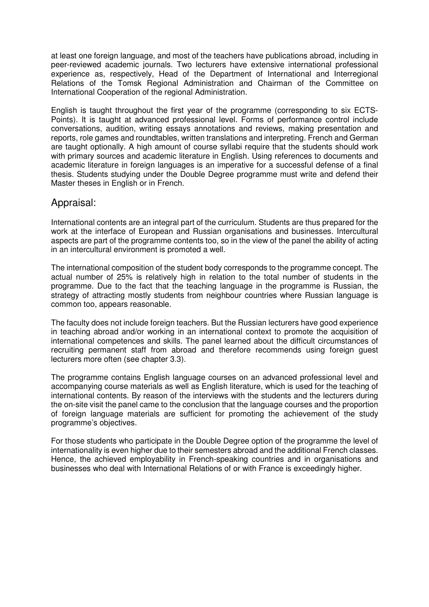at least one foreign language, and most of the teachers have publications abroad, including in peer-reviewed academic journals. Two lecturers have extensive international professional experience as, respectively, Head of the Department of International and Interregional Relations of the Tomsk Regional Administration and Chairman of the Committee on International Cooperation of the regional Administration.

English is taught throughout the first year of the programme (corresponding to six ECTS-Points). It is taught at advanced professional level. Forms of performance control include conversations, audition, writing essays annotations and reviews, making presentation and reports, role games and roundtables, written translations and interpreting. French and German are taught optionally. A high amount of course syllabi require that the students should work with primary sources and academic literature in English. Using references to documents and academic literature in foreign languages is an imperative for a successful defense of a final thesis. Students studying under the Double Degree programme must write and defend their Master theses in English or in French.

#### Appraisal:

International contents are an integral part of the curriculum. Students are thus prepared for the work at the interface of European and Russian organisations and businesses. Intercultural aspects are part of the programme contents too, so in the view of the panel the ability of acting in an intercultural environment is promoted a well.

The international composition of the student body corresponds to the programme concept. The actual number of 25% is relatively high in relation to the total number of students in the programme. Due to the fact that the teaching language in the programme is Russian, the strategy of attracting mostly students from neighbour countries where Russian language is common too, appears reasonable.

The faculty does not include foreign teachers. But the Russian lecturers have good experience in teaching abroad and/or working in an international context to promote the acquisition of international competences and skills. The panel learned about the difficult circumstances of recruiting permanent staff from abroad and therefore recommends using foreign guest lecturers more often (see chapter 3.3).

The programme contains English language courses on an advanced professional level and accompanying course materials as well as English literature, which is used for the teaching of international contents. By reason of the interviews with the students and the lecturers during the on-site visit the panel came to the conclusion that the language courses and the proportion of foreign language materials are sufficient for promoting the achievement of the study programme's objectives.

For those students who participate in the Double Degree option of the programme the level of internationality is even higher due to their semesters abroad and the additional French classes. Hence, the achieved employability in French-speaking countries and in organisations and businesses who deal with International Relations of or with France is exceedingly higher.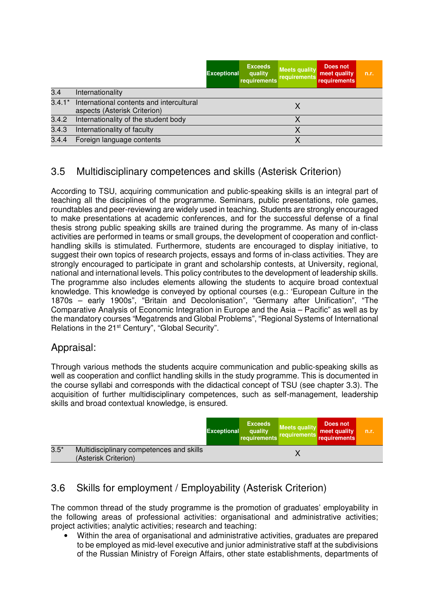|          |                                                                          | <b>Exceptional</b> | <b>Exceeds</b><br>quality<br>requirements | <b>Meets quality</b><br>requirements | Does not<br>meet quality<br><b>requirements</b> | n.r. |
|----------|--------------------------------------------------------------------------|--------------------|-------------------------------------------|--------------------------------------|-------------------------------------------------|------|
| 3.4      | Internationality                                                         |                    |                                           |                                      |                                                 |      |
| $3.4.1*$ | International contents and intercultural<br>aspects (Asterisk Criterion) |                    |                                           |                                      |                                                 |      |
| 3.4.2    | Internationality of the student body                                     |                    |                                           |                                      |                                                 |      |
| 3.4.3    | Internationality of faculty                                              |                    |                                           |                                      |                                                 |      |
| 3.4.4    | Foreign language contents                                                |                    |                                           |                                      |                                                 |      |

## 3.5 Multidisciplinary competences and skills (Asterisk Criterion)

According to TSU, acquiring communication and public-speaking skills is an integral part of teaching all the disciplines of the programme. Seminars, public presentations, role games, roundtables and peer-reviewing are widely used in teaching. Students are strongly encouraged to make presentations at academic conferences, and for the successful defense of a final thesis strong public speaking skills are trained during the programme. As many of in-class activities are performed in teams or small groups, the development of cooperation and conflicthandling skills is stimulated. Furthermore, students are encouraged to display initiative, to suggest their own topics of research projects, essays and forms of in-class activities. They are strongly encouraged to participate in grant and scholarship contests, at University, regional, national and international levels. This policy contributes to the development of leadership skills. The programme also includes elements allowing the students to acquire broad contextual knowledge. This knowledge is conveyed by optional courses (e.g.: 'European Culture in the 1870s – early 1900s", "Britain and Decolonisation", "Germany after Unification", "The Comparative Analysis of Economic Integration in Europe and the Asia – Pacific" as well as by the mandatory courses "Megatrends and Global Problems", "Regional Systems of International Relations in the 21<sup>st</sup> Century", "Global Security".

## Appraisal:

Through various methods the students acquire communication and public-speaking skills as well as cooperation and conflict handling skills in the study programme. This is documented in the course syllabi and corresponds with the didactical concept of TSU (see chapter 3.3). The acquisition of further multidisciplinary competences, such as self-management, leadership skills and broad contextual knowledge, is ensured.

|        |                                                                  | <b>Exceptional</b> | <b>Exceeds</b><br>quality<br>requirements | <b>Meets quality</b><br>requirements | Does not<br>meet quality<br>requirements | n.r. |
|--------|------------------------------------------------------------------|--------------------|-------------------------------------------|--------------------------------------|------------------------------------------|------|
| $3.5*$ | Multidisciplinary competences and skills<br>(Asterisk Criterion) |                    |                                           |                                      |                                          |      |

## 3.6 Skills for employment / Employability (Asterisk Criterion)

The common thread of the study programme is the promotion of graduates' employability in the following areas of professional activities: organisational and administrative activities; project activities; analytic activities; research and teaching:

• Within the area of organisational and administrative activities, graduates are prepared to be employed as mid-level executive and junior administrative staff at the subdivisions of the Russian Ministry of Foreign Affairs, other state establishments, departments of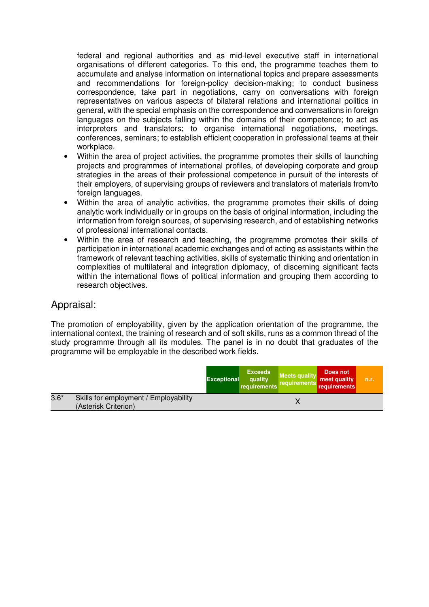federal and regional authorities and as mid-level executive staff in international organisations of different categories. To this end, the programme teaches them to accumulate and analyse information on international topics and prepare assessments and recommendations for foreign-policy decision-making; to conduct business correspondence, take part in negotiations, carry on conversations with foreign representatives on various aspects of bilateral relations and international politics in general, with the special emphasis on the correspondence and conversations in foreign languages on the subjects falling within the domains of their competence; to act as interpreters and translators; to organise international negotiations, meetings, conferences, seminars; to establish efficient cooperation in professional teams at their workplace.

- Within the area of project activities, the programme promotes their skills of launching projects and programmes of international profiles, of developing corporate and group strategies in the areas of their professional competence in pursuit of the interests of their employers, of supervising groups of reviewers and translators of materials from/to foreign languages.
- Within the area of analytic activities, the programme promotes their skills of doing analytic work individually or in groups on the basis of original information, including the information from foreign sources, of supervising research, and of establishing networks of professional international contacts.
- Within the area of research and teaching, the programme promotes their skills of participation in international academic exchanges and of acting as assistants within the framework of relevant teaching activities, skills of systematic thinking and orientation in complexities of multilateral and integration diplomacy, of discerning significant facts within the international flows of political information and grouping them according to research objectives.

#### Appraisal:

The promotion of employability, given by the application orientation of the programme, the international context, the training of research and of soft skills, runs as a common thread of the study programme through all its modules. The panel is in no doubt that graduates of the programme will be employable in the described work fields.

|        |                                                               | <b>Exceptional</b> | <b>Exceeds</b><br>quality<br>requirements | Meets quality<br>requirements | Does not<br>meet quality<br>requirements | m.r. |
|--------|---------------------------------------------------------------|--------------------|-------------------------------------------|-------------------------------|------------------------------------------|------|
| $3.6*$ | Skills for employment / Employability<br>(Asterisk Criterion) |                    |                                           |                               |                                          |      |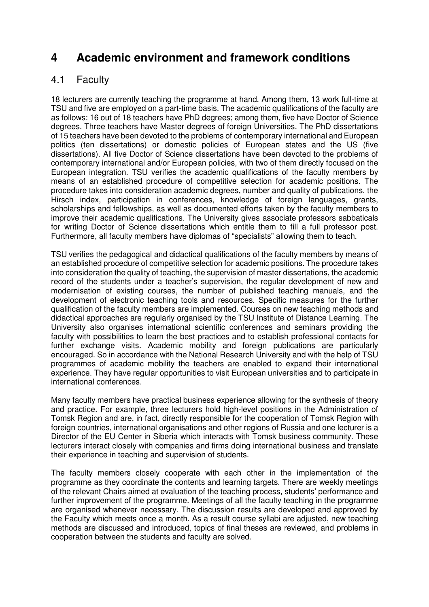## **4 Academic environment and framework conditions**

## 4.1 Faculty

18 lecturers are currently teaching the programme at hand. Among them, 13 work full-time at TSU and five are employed on a part-time basis. The academic qualifications of the faculty are as follows: 16 out of 18 teachers have PhD degrees; among them, five have Doctor of Science degrees. Three teachers have Master degrees of foreign Universities. The PhD dissertations of 15 teachers have been devoted to the problems of contemporary international and European politics (ten dissertations) or domestic policies of European states and the US (five dissertations). All five Doctor of Science dissertations have been devoted to the problems of contemporary international and/or European policies, with two of them directly focused on the European integration. TSU verifies the academic qualifications of the faculty members by means of an established procedure of competitive selection for academic positions. The procedure takes into consideration academic degrees, number and quality of publications, the Hirsch index, participation in conferences, knowledge of foreign languages, grants, scholarships and fellowships, as well as documented efforts taken by the faculty members to improve their academic qualifications. The University gives associate professors sabbaticals for writing Doctor of Science dissertations which entitle them to fill a full professor post. Furthermore, all faculty members have diplomas of "specialists" allowing them to teach.

TSU verifies the pedagogical and didactical qualifications of the faculty members by means of an established procedure of competitive selection for academic positions. The procedure takes into consideration the quality of teaching, the supervision of master dissertations, the academic record of the students under a teacher's supervision, the regular development of new and modernisation of existing courses, the number of published teaching manuals, and the development of electronic teaching tools and resources. Specific measures for the further qualification of the faculty members are implemented. Courses on new teaching methods and didactical approaches are regularly organised by the TSU Institute of Distance Learning. The University also organises international scientific conferences and seminars providing the faculty with possibilities to learn the best practices and to establish professional contacts for further exchange visits. Academic mobility and foreign publications are particularly encouraged. So in accordance with the National Research University and with the help of TSU programmes of academic mobility the teachers are enabled to expand their international experience. They have regular opportunities to visit European universities and to participate in international conferences.

Many faculty members have practical business experience allowing for the synthesis of theory and practice. For example, three lecturers hold high-level positions in the Administration of Tomsk Region and are, in fact, directly responsible for the cooperation of Tomsk Region with foreign countries, international organisations and other regions of Russia and one lecturer is a Director of the EU Center in Siberia which interacts with Tomsk business community. These lecturers interact closely with companies and firms doing international business and translate their experience in teaching and supervision of students.

The faculty members closely cooperate with each other in the implementation of the programme as they coordinate the contents and learning targets. There are weekly meetings of the relevant Chairs aimed at evaluation of the teaching process, students' performance and further improvement of the programme. Meetings of all the faculty teaching in the programme are organised whenever necessary. The discussion results are developed and approved by the Faculty which meets once a month. As a result course syllabi are adjusted, new teaching methods are discussed and introduced, topics of final theses are reviewed, and problems in cooperation between the students and faculty are solved.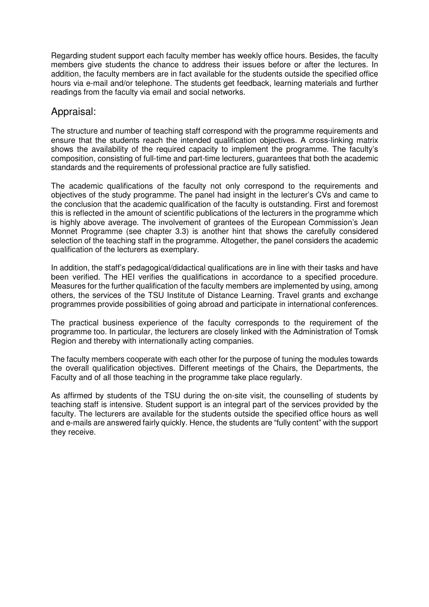Regarding student support each faculty member has weekly office hours. Besides, the faculty members give students the chance to address their issues before or after the lectures. In addition, the faculty members are in fact available for the students outside the specified office hours via e-mail and/or telephone. The students get feedback, learning materials and further readings from the faculty via email and social networks.

#### Appraisal:

The structure and number of teaching staff correspond with the programme requirements and ensure that the students reach the intended qualification objectives. A cross-linking matrix shows the availability of the required capacity to implement the programme. The faculty's composition, consisting of full-time and part-time lecturers, guarantees that both the academic standards and the requirements of professional practice are fully satisfied.

The academic qualifications of the faculty not only correspond to the requirements and objectives of the study programme. The panel had insight in the lecturer's CVs and came to the conclusion that the academic qualification of the faculty is outstanding. First and foremost this is reflected in the amount of scientific publications of the lecturers in the programme which is highly above average. The involvement of grantees of the European Commission's Jean Monnet Programme (see chapter 3.3) is another hint that shows the carefully considered selection of the teaching staff in the programme. Altogether, the panel considers the academic qualification of the lecturers as exemplary.

In addition, the staff's pedagogical/didactical qualifications are in line with their tasks and have been verified. The HEI verifies the qualifications in accordance to a specified procedure. Measures for the further qualification of the faculty members are implemented by using, among others, the services of the TSU Institute of Distance Learning. Travel grants and exchange programmes provide possibilities of going abroad and participate in international conferences.

The practical business experience of the faculty corresponds to the requirement of the programme too. In particular, the lecturers are closely linked with the Administration of Tomsk Region and thereby with internationally acting companies.

The faculty members cooperate with each other for the purpose of tuning the modules towards the overall qualification objectives. Different meetings of the Chairs, the Departments, the Faculty and of all those teaching in the programme take place regularly.

As affirmed by students of the TSU during the on-site visit, the counselling of students by teaching staff is intensive. Student support is an integral part of the services provided by the faculty. The lecturers are available for the students outside the specified office hours as well and e-mails are answered fairly quickly. Hence, the students are "fully content" with the support they receive.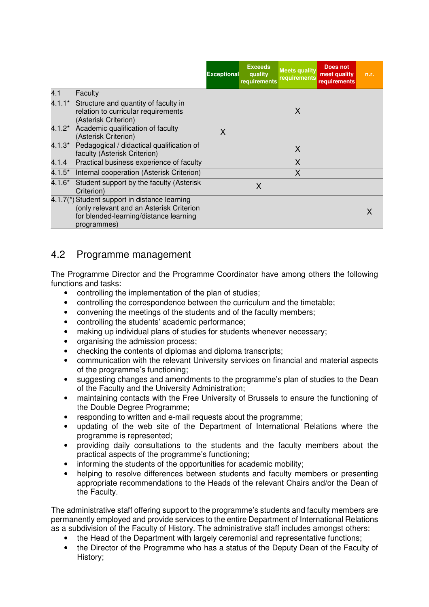|          |                                                                                                                                                    | <b>Exceptional</b> | <b>Exceeds</b><br>quality<br>requirements | <b>Meets quality</b><br><b>requirements</b> | <b>Does not</b><br>meet quality<br>requirements | n.r. |
|----------|----------------------------------------------------------------------------------------------------------------------------------------------------|--------------------|-------------------------------------------|---------------------------------------------|-------------------------------------------------|------|
| 4.1      | Faculty                                                                                                                                            |                    |                                           |                                             |                                                 |      |
|          | 4.1.1* Structure and quantity of faculty in<br>relation to curricular requirements<br>(Asterisk Criterion)                                         |                    |                                           | X                                           |                                                 |      |
|          | 4.1.2* Academic qualification of faculty<br>(Asterisk Criterion)                                                                                   | X                  |                                           |                                             |                                                 |      |
| $4.1.3*$ | Pedagogical / didactical qualification of<br>faculty (Asterisk Criterion)                                                                          |                    |                                           | X                                           |                                                 |      |
| 4.1.4    | Practical business experience of faculty                                                                                                           |                    |                                           | X                                           |                                                 |      |
| $4.1.5*$ | Internal cooperation (Asterisk Criterion)                                                                                                          |                    |                                           | X                                           |                                                 |      |
|          | 4.1.6* Student support by the faculty (Asterisk<br>Criterion)                                                                                      |                    | X                                         |                                             |                                                 |      |
|          | 4.1.7(*) Student support in distance learning<br>(only relevant and an Asterisk Criterion<br>for blended-learning/distance learning<br>programmes) |                    |                                           |                                             |                                                 |      |

#### 4.2 Programme management

The Programme Director and the Programme Coordinator have among others the following functions and tasks:

- controlling the implementation of the plan of studies;
- controlling the correspondence between the curriculum and the timetable;
- convening the meetings of the students and of the faculty members;
- controlling the students' academic performance;
- making up individual plans of studies for students whenever necessary;
- organising the admission process;
- checking the contents of diplomas and diploma transcripts;
- communication with the relevant University services on financial and material aspects of the programme's functioning;
- suggesting changes and amendments to the programme's plan of studies to the Dean of the Faculty and the University Administration;
- maintaining contacts with the Free University of Brussels to ensure the functioning of the Double Degree Programme;
- responding to written and e-mail requests about the programme;
- updating of the web site of the Department of International Relations where the programme is represented;
- providing daily consultations to the students and the faculty members about the practical aspects of the programme's functioning;
- informing the students of the opportunities for academic mobility;
- helping to resolve differences between students and faculty members or presenting appropriate recommendations to the Heads of the relevant Chairs and/or the Dean of the Faculty.

The administrative staff offering support to the programme's students and faculty members are permanently employed and provide services to the entire Department of International Relations as a subdivision of the Faculty of History. The administrative staff includes amongst others:

- the Head of the Department with largely ceremonial and representative functions;
- the Director of the Programme who has a status of the Deputy Dean of the Faculty of History;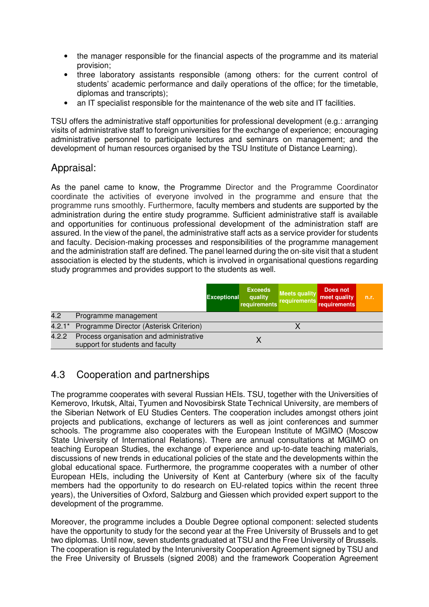- the manager responsible for the financial aspects of the programme and its material provision;
- three laboratory assistants responsible (among others: for the current control of students' academic performance and daily operations of the office; for the timetable, diplomas and transcripts);
- an IT specialist responsible for the maintenance of the web site and IT facilities.

TSU offers the administrative staff opportunities for professional development (e.g.: arranging visits of administrative staff to foreign universities for the exchange of experience; encouraging administrative personnel to participate lectures and seminars on management; and the development of human resources organised by the TSU Institute of Distance Learning).

#### Appraisal:

As the panel came to know, the Programme Director and the Programme Coordinator coordinate the activities of everyone involved in the programme and ensure that the programme runs smoothly. Furthermore, faculty members and students are supported by the administration during the entire study programme. Sufficient administrative staff is available and opportunities for continuous professional development of the administration staff are assured. In the view of the panel, the administrative staff acts as a service provider for students and faculty. Decision-making processes and responsibilities of the programme management and the administration staff are defined. The panel learned during the on-site visit that a student association is elected by the students, which is involved in organisational questions regarding study programmes and provides support to the students as well.

|          |                                                                             | <b>Exceptional</b> | <b>Exceeds</b><br>quality<br>requirements | <b>Meets quality</b><br>requirements | Does not<br>meet quality<br>requirements | n.r. |
|----------|-----------------------------------------------------------------------------|--------------------|-------------------------------------------|--------------------------------------|------------------------------------------|------|
| 4.2      | Programme management                                                        |                    |                                           |                                      |                                          |      |
| $4.2.1*$ | Programme Director (Asterisk Criterion)                                     |                    |                                           |                                      |                                          |      |
| 4.2.2    | Process organisation and administrative<br>support for students and faculty |                    |                                           |                                      |                                          |      |

## 4.3 Cooperation and partnerships

The programme cooperates with several Russian HEIs. TSU, together with the Universities of Kemerovo, Irkutsk, Altai, Tyumen and Novosibirsk State Technical University, are members of the Siberian Network of EU Studies Centers. The cooperation includes amongst others joint projects and publications, exchange of lecturers as well as joint conferences and summer schools. The programme also cooperates with the European Institute of MGIMO (Moscow State University of International Relations). There are annual consultations at MGIMO on teaching European Studies, the exchange of experience and up-to-date teaching materials, discussions of new trends in educational policies of the state and the developments within the global educational space. Furthermore, the programme cooperates with a number of other European HEIs, including the University of Kent at Canterbury (where six of the faculty members had the opportunity to do research on EU-related topics within the recent three years), the Universities of Oxford, Salzburg and Giessen which provided expert support to the development of the programme.

Moreover, the programme includes a Double Degree optional component: selected students have the opportunity to study for the second year at the Free University of Brussels and to get two diplomas. Until now, seven students graduated at TSU and the Free University of Brussels. The cooperation is regulated by the Interuniversity Cooperation Agreement signed by TSU and the Free University of Brussels (signed 2008) and the framework Cooperation Agreement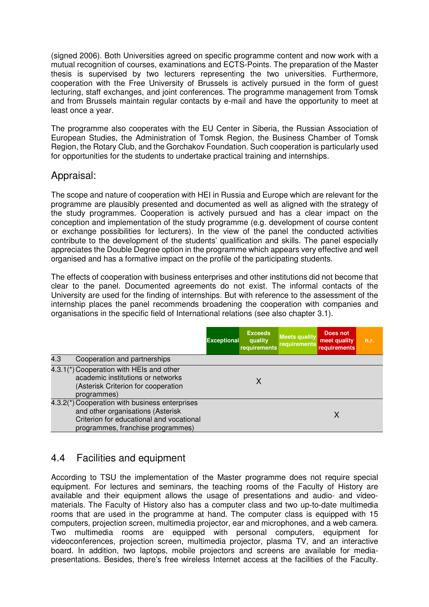(signed 2006). Both Universities agreed on specific programme content and now work with a mutual recognition of courses, examinations and ECTS-Points. The preparation of the Master thesis is supervised by two lecturers representing the two universities. Furthermore, cooperation with the Free University of Brussels is actively pursued in the form of guest lecturing, staff exchanges, and joint conferences. The programme management from Tomsk and from Brussels maintain regular contacts by e-mail and have the opportunity to meet at least once a year.

The programme also cooperates with the EU Center in Siberia, the Russian Association of European Studies, the Administration of Tomsk Region, the Business Chamber of Tomsk Region, the Rotary Club, and the Gorchakov Foundation. Such cooperation is particularly used for opportunities for the students to undertake practical training and internships.

#### Appraisal:

The scope and nature of cooperation with HEI in Russia and Europe which are relevant for the programme are plausibly presented and documented as well as aligned with the strategy of the study programmes. Cooperation is actively pursued and has a clear impact on the conception and implementation of the study programme (e.g. development of course content or exchange possibilities for lecturers). In the view of the panel the conducted activities contribute to the development of the students' qualification and skills. The panel especially appreciates the Double Degree option in the programme which appears very effective and well organised and has a formative impact on the profile of the participating students.

The effects of cooperation with business enterprises and other institutions did not become that clear to the panel. Documented agreements do not exist. The informal contacts of the University are used for the finding of internships. But with reference to the assessment of the internship places the panel recommends broadening the cooperation with companies and organisations in the specific field of International relations (see also chapter 3.1).

|     |                                                                                                                                                                      | <b>Exceptional</b> | <b>Exceeds</b><br>quality<br>requirements | <b>Meets quality</b><br>requirements | Does not<br>meet quality<br>requirements | n.r. |
|-----|----------------------------------------------------------------------------------------------------------------------------------------------------------------------|--------------------|-------------------------------------------|--------------------------------------|------------------------------------------|------|
| 4.3 | Cooperation and partnerships                                                                                                                                         |                    |                                           |                                      |                                          |      |
|     | 4.3.1(*) Cooperation with HEIs and other<br>academic institutions or networks<br>(Asterisk Criterion for cooperation<br>programmes)                                  |                    |                                           |                                      |                                          |      |
|     | 4.3.2(*) Cooperation with business enterprises<br>and other organisations (Asterisk<br>Criterion for educational and vocational<br>programmes, franchise programmes) |                    |                                           |                                      | Χ                                        |      |

## 4.4 Facilities and equipment

According to TSU the implementation of the Master programme does not require special equipment. For lectures and seminars, the teaching rooms of the Faculty of History are available and their equipment allows the usage of presentations and audio- and videomaterials. The Faculty of History also has a computer class and two up-to-date multimedia rooms that are used in the programme at hand. The computer class is equipped with 15 computers, projection screen, multimedia projector, ear and microphones, and a web camera. Two multimedia rooms are equipped with personal computers, equipment for videoconferences, projection screen, multimedia projector, plasma TV, and an interactive board. In addition, two laptops, mobile projectors and screens are available for mediapresentations. Besides, there's free wireless Internet access at the facilities of the Faculty.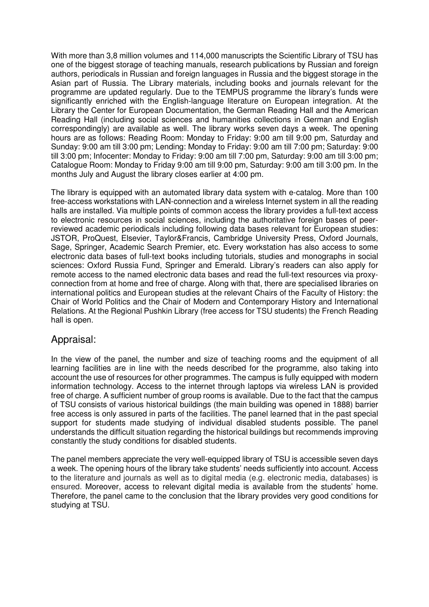With more than 3,8 million volumes and 114,000 manuscripts the Scientific Library of TSU has one of the biggest storage of teaching manuals, research publications by Russian and foreign authors, periodicals in Russian and foreign languages in Russia and the biggest storage in the Asian part of Russia. The Library materials, including books and journals relevant for the programme are updated regularly. Due to the TEMPUS programme the library's funds were significantly enriched with the English-language literature on European integration. At the Library the Center for European Documentation, the German Reading Hall and the American Reading Hall (including social sciences and humanities collections in German and English correspondingly) are available as well. The library works seven days a week. The opening hours are as follows: Reading Room: Monday to Friday: 9:00 am till 9:00 pm, Saturday and Sunday: 9:00 am till 3:00 pm; Lending: Monday to Friday: 9:00 am till 7:00 pm; Saturday: 9:00 till 3:00 pm; Infocenter: Monday to Friday: 9:00 am till 7:00 pm, Saturday: 9:00 am till 3:00 pm; Catalogue Room: Monday to Friday 9:00 am till 9:00 pm, Saturday: 9:00 am till 3:00 pm. In the months July and August the library closes earlier at 4:00 pm.

The library is equipped with an automated library data system with e-catalog. More than 100 free-access workstations with LAN-connection and a wireless Internet system in all the reading halls are installed. Via multiple points of common access the library provides a full-text access to electronic resources in social sciences, including the authoritative foreign bases of peerreviewed academic periodicals including following data bases relevant for European studies: JSTOR, ProQuest, Elsevier, Taylor&Francis, Cambridge University Press, Oxford Journals, Sage, Springer, Academic Search Premier, etc. Every workstation has also access to some electronic data bases of full-text books including tutorials, studies and monographs in social sciences: Oxford Russia Fund, Springer and Emerald. Library's readers can also apply for remote access to the named electronic data bases and read the full-text resources via proxyconnection from at home and free of charge. Along with that, there are specialised libraries on international politics and European studies at the relevant Chairs of the Faculty of History: the Chair of World Politics and the Chair of Modern and Contemporary History and International Relations. At the Regional Pushkin Library (free access for TSU students) the French Reading hall is open.

#### Appraisal:

In the view of the panel, the number and size of teaching rooms and the equipment of all learning facilities are in line with the needs described for the programme, also taking into account the use of resources for other programmes. The campus is fully equipped with modern information technology. Access to the internet through laptops via wireless LAN is provided free of charge. A sufficient number of group rooms is available. Due to the fact that the campus of TSU consists of various historical buildings (the main building was opened in 1888) barrier free access is only assured in parts of the facilities. The panel learned that in the past special support for students made studying of individual disabled students possible. The panel understands the difficult situation regarding the historical buildings but recommends improving constantly the study conditions for disabled students.

The panel members appreciate the very well-equipped library of TSU is accessible seven days a week. The opening hours of the library take students' needs sufficiently into account. Access to the literature and journals as well as to digital media (e.g. electronic media, databases) is ensured. Moreover, access to relevant digital media is available from the students' home. Therefore, the panel came to the conclusion that the library provides very good conditions for studying at TSU.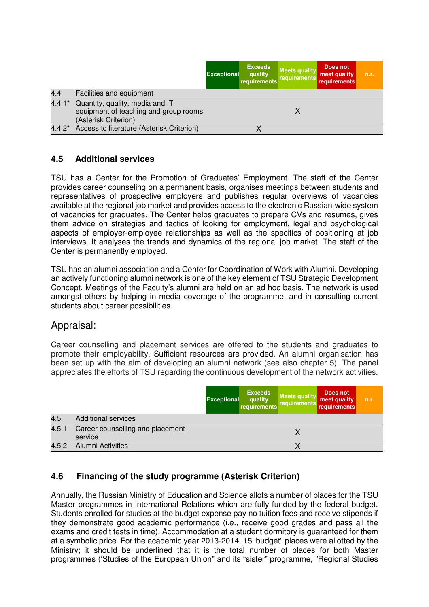|          |                                                                                                  | <b>Exceptional</b> | <b>Exceeds</b><br>quality<br>requirements | <b>Meets quality</b><br>requirements | Does not<br>meet quality<br>requirements | n.r. |
|----------|--------------------------------------------------------------------------------------------------|--------------------|-------------------------------------------|--------------------------------------|------------------------------------------|------|
| 4.4      | Facilities and equipment                                                                         |                    |                                           |                                      |                                          |      |
| $4.4.1*$ | Quantity, quality, media and IT<br>equipment of teaching and group rooms<br>(Asterisk Criterion) |                    |                                           |                                      |                                          |      |
| $4.4.2*$ | Access to literature (Asterisk Criterion)                                                        |                    |                                           |                                      |                                          |      |

#### **4.5 Additional services**

TSU has a Center for the Promotion of Graduates' Employment. The staff of the Center provides career counseling on a permanent basis, organises meetings between students and representatives of prospective employers and publishes regular overviews of vacancies available at the regional job market and provides access to the electronic Russian-wide system of vacancies for graduates. The Center helps graduates to prepare CVs and resumes, gives them advice on strategies and tactics of looking for employment, legal and psychological aspects of employer-employee relationships as well as the specifics of positioning at job interviews. It analyses the trends and dynamics of the regional job market. The staff of the Center is permanently employed.

TSU has an alumni association and a Center for Coordination of Work with Alumni. Developing an actively functioning alumni network is one of the key element of TSU Strategic Development Concept. Meetings of the Faculty's alumni are held on an ad hoc basis. The network is used amongst others by helping in media coverage of the programme, and in consulting current students about career possibilities.

#### Appraisal:

Career counselling and placement services are offered to the students and graduates to promote their employability. Sufficient resources are provided. An alumni organisation has been set up with the aim of developing an alumni network (see also chapter 5). The panel appreciates the efforts of TSU regarding the continuous development of the network activities.

|       |                                             | <b>Exceptional</b> | <b>Exceeds</b><br>quality<br>requirements | <b>Meets quality</b><br>requirements | Does not<br>meet quality<br>requirements | n.r. |
|-------|---------------------------------------------|--------------------|-------------------------------------------|--------------------------------------|------------------------------------------|------|
| 4.5   | <b>Additional services</b>                  |                    |                                           |                                      |                                          |      |
| 4.5.1 | Career counselling and placement<br>service |                    |                                           |                                      |                                          |      |
| 4.5.2 | <b>Alumni Activities</b>                    |                    |                                           |                                      |                                          |      |

#### **4.6 Financing of the study programme (Asterisk Criterion)**

Annually, the Russian Ministry of Education and Science allots a number of places for the TSU Master programmes in International Relations which are fully funded by the federal budget. Students enrolled for studies at the budget expense pay no tuition fees and receive stipends if they demonstrate good academic performance (i.e., receive good grades and pass all the exams and credit tests in time). Accommodation at a student dormitory is guaranteed for them at a symbolic price. For the academic year 2013-2014, 15 'budget" places were allotted by the Ministry; it should be underlined that it is the total number of places for both Master programmes ('Studies of the European Union" and its "sister" programme, "Regional Studies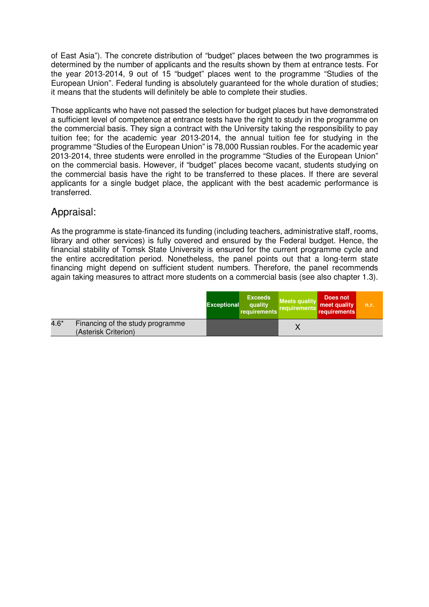of East Asia"). The concrete distribution of "budget" places between the two programmes is determined by the number of applicants and the results shown by them at entrance tests. For the year 2013-2014, 9 out of 15 "budget" places went to the programme "Studies of the European Union". Federal funding is absolutely guaranteed for the whole duration of studies; it means that the students will definitely be able to complete their studies.

Those applicants who have not passed the selection for budget places but have demonstrated a sufficient level of competence at entrance tests have the right to study in the programme on the commercial basis. They sign a contract with the University taking the responsibility to pay tuition fee; for the academic year 2013-2014, the annual tuition fee for studying in the programme "Studies of the European Union" is 78,000 Russian roubles. For the academic year 2013-2014, three students were enrolled in the programme "Studies of the European Union" on the commercial basis. However, if "budget" places become vacant, students studying on the commercial basis have the right to be transferred to these places. If there are several applicants for a single budget place, the applicant with the best academic performance is transferred.

#### Appraisal:

As the programme is state-financed its funding (including teachers, administrative staff, rooms, library and other services) is fully covered and ensured by the Federal budget. Hence, the financial stability of Tomsk State University is ensured for the current programme cycle and the entire accreditation period. Nonetheless, the panel points out that a long-term state financing might depend on sufficient student numbers. Therefore, the panel recommends again taking measures to attract more students on a commercial basis (see also chapter 1.3).

|        |                                                          | <b>Exceptional</b> | <b>Exceeds</b><br>quality<br>requirements | <b>Meets quality</b><br>requirements | Does not<br>meet quality<br>requirements | n.r. |
|--------|----------------------------------------------------------|--------------------|-------------------------------------------|--------------------------------------|------------------------------------------|------|
| $4.6*$ | Financing of the study programme<br>(Asterisk Criterion) |                    |                                           |                                      |                                          |      |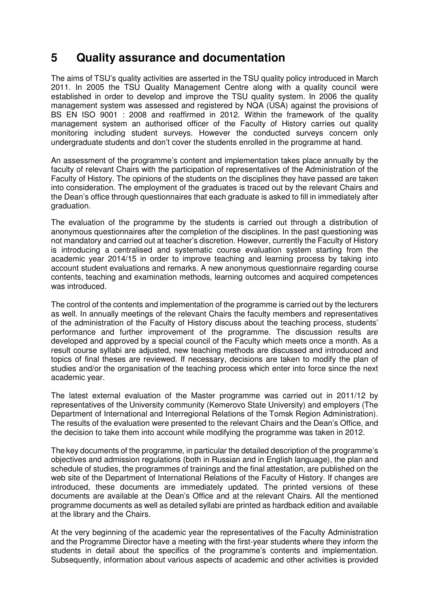## **5 Quality assurance and documentation**

The aims of TSU's quality activities are asserted in the TSU quality policy introduced in March 2011. In 2005 the TSU Quality Management Centre along with a quality council were established in order to develop and improve the TSU quality system. In 2006 the quality management system was assessed and registered by NQA (USA) against the provisions of BS EN ISO 9001 : 2008 and reaffirmed in 2012. Within the framework of the quality management system an authorised officer of the Faculty of History carries out quality monitoring including student surveys. However the conducted surveys concern only undergraduate students and don't cover the students enrolled in the programme at hand.

An assessment of the programme's content and implementation takes place annually by the faculty of relevant Chairs with the participation of representatives of the Administration of the Faculty of History. The opinions of the students on the disciplines they have passed are taken into consideration. The employment of the graduates is traced out by the relevant Chairs and the Dean's office through questionnaires that each graduate is asked to fill in immediately after graduation.

The evaluation of the programme by the students is carried out through a distribution of anonymous questionnaires after the completion of the disciplines. In the past questioning was not mandatory and carried out at teacher's discretion. However, currently the Faculty of History is introducing a centralised and systematic course evaluation system starting from the academic year 2014/15 in order to improve teaching and learning process by taking into account student evaluations and remarks. A new anonymous questionnaire regarding course contents, teaching and examination methods, learning outcomes and acquired competences was introduced.

The control of the contents and implementation of the programme is carried out by the lecturers as well. In annually meetings of the relevant Chairs the faculty members and representatives of the administration of the Faculty of History discuss about the teaching process, students' performance and further improvement of the programme. The discussion results are developed and approved by a special council of the Faculty which meets once a month. As a result course syllabi are adjusted, new teaching methods are discussed and introduced and topics of final theses are reviewed. If necessary, decisions are taken to modify the plan of studies and/or the organisation of the teaching process which enter into force since the next academic year.

The latest external evaluation of the Master programme was carried out in 2011/12 by representatives of the University community (Kemerovo State University) and employers (The Department of International and Interregional Relations of the Tomsk Region Administration). The results of the evaluation were presented to the relevant Chairs and the Dean's Office, and the decision to take them into account while modifying the programme was taken in 2012.

The key documents of the programme, in particular the detailed description of the programme's objectives and admission regulations (both in Russian and in English language), the plan and schedule of studies, the programmes of trainings and the final attestation, are published on the web site of the Department of International Relations of the Faculty of History. If changes are introduced, these documents are immediately updated. The printed versions of these documents are available at the Dean's Office and at the relevant Chairs. All the mentioned programme documents as well as detailed syllabi are printed as hardback edition and available at the library and the Chairs.

At the very beginning of the academic year the representatives of the Faculty Administration and the Programme Director have a meeting with the first-year students where they inform the students in detail about the specifics of the programme's contents and implementation. Subsequently, information about various aspects of academic and other activities is provided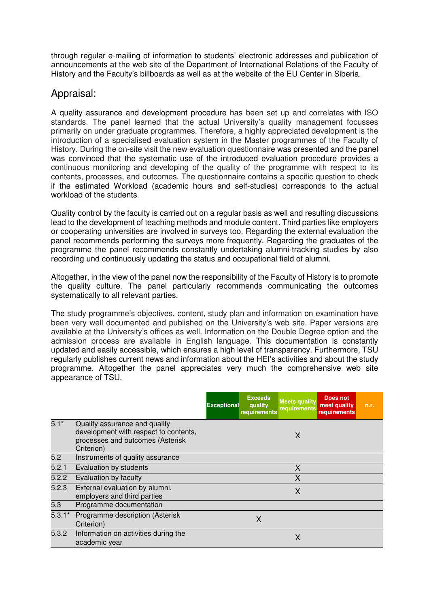through regular e-mailing of information to students' electronic addresses and publication of announcements at the web site of the Department of International Relations of the Faculty of History and the Faculty's billboards as well as at the website of the EU Center in Siberia.

#### Appraisal:

A quality assurance and development procedure has been set up and correlates with ISO standards. The panel learned that the actual University's quality management focusses primarily on under graduate programmes. Therefore, a highly appreciated development is the introduction of a specialised evaluation system in the Master programmes of the Faculty of History. During the on-site visit the new evaluation questionnaire was presented and the panel was convinced that the systematic use of the introduced evaluation procedure provides a continuous monitoring and developing of the quality of the programme with respect to its contents, processes, and outcomes. The questionnaire contains a specific question to check if the estimated Workload (academic hours and self-studies) corresponds to the actual workload of the students.

Quality control by the faculty is carried out on a regular basis as well and resulting discussions lead to the development of teaching methods and module content. Third parties like employers or cooperating universities are involved in surveys too. Regarding the external evaluation the panel recommends performing the surveys more frequently. Regarding the graduates of the programme the panel recommends constantly undertaking alumni-tracking studies by also recording und continuously updating the status and occupational field of alumni.

Altogether, in the view of the panel now the responsibility of the Faculty of History is to promote the quality culture. The panel particularly recommends communicating the outcomes systematically to all relevant parties.

The study programme's objectives, content, study plan and information on examination have been very well documented and published on the University's web site. Paper versions are available at the University's offices as well. Information on the Double Degree option and the admission process are available in English language. This documentation is constantly updated and easily accessible, which ensures a high level of transparency. Furthermore, TSU regularly publishes current news and information about the HEI's activities and about the study programme. Altogether the panel appreciates very much the comprehensive web site appearance of TSU.

|          |                                                                                                                          | <b>Exceptional</b> | <b>Exceeds</b><br>quality<br>requirements | <b>Meets quality</b><br>requirements | Does not<br>meet quality<br>requirements | n.r. |
|----------|--------------------------------------------------------------------------------------------------------------------------|--------------------|-------------------------------------------|--------------------------------------|------------------------------------------|------|
| $5.1*$   | Quality assurance and quality<br>development with respect to contents,<br>processes and outcomes (Asterisk<br>Criterion) |                    |                                           | X                                    |                                          |      |
| 5.2      | Instruments of quality assurance                                                                                         |                    |                                           |                                      |                                          |      |
| 5.2.1    | Evaluation by students                                                                                                   |                    |                                           | X                                    |                                          |      |
| 5.2.2    | Evaluation by faculty                                                                                                    |                    |                                           | X                                    |                                          |      |
| 5.2.3    | External evaluation by alumni,<br>employers and third parties                                                            |                    |                                           | X                                    |                                          |      |
| 5.3      | Programme documentation                                                                                                  |                    |                                           |                                      |                                          |      |
| $5.3.1*$ | Programme description (Asterisk<br>Criterion)                                                                            |                    | X                                         |                                      |                                          |      |
| 5.3.2    | Information on activities during the<br>academic year                                                                    |                    |                                           | X                                    |                                          |      |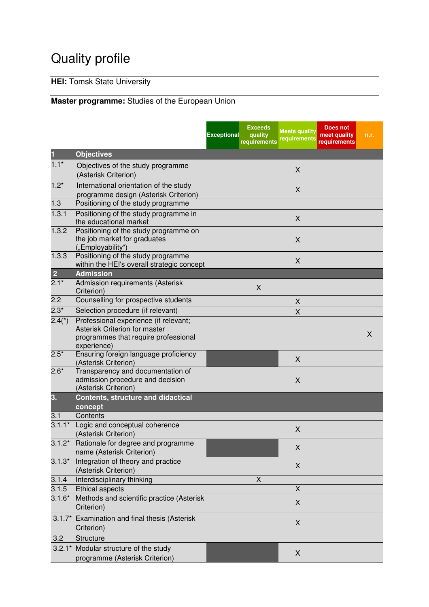# Quality profile

## **HEI:** Tomsk State University

## **Master programme:** Studies of the European Union

|                |                                                                                                                               | <b>Exceptional</b> | <b>Exceeds</b><br>quality<br>requirements | <b>Meets quality</b><br>requirements | <b>Does not</b><br>meet quality<br>requirements | n.r. |
|----------------|-------------------------------------------------------------------------------------------------------------------------------|--------------------|-------------------------------------------|--------------------------------------|-------------------------------------------------|------|
| 1              | <b>Objectives</b>                                                                                                             |                    |                                           |                                      |                                                 |      |
| $1.1*$         | Objectives of the study programme<br>(Asterisk Criterion)                                                                     |                    |                                           | X                                    |                                                 |      |
| $1.2*$         | International orientation of the study<br>programme design (Asterisk Criterion)                                               |                    |                                           | X                                    |                                                 |      |
| 1.3            | Positioning of the study programme                                                                                            |                    |                                           |                                      |                                                 |      |
| 1.3.1          | Positioning of the study programme in<br>the educational market                                                               |                    |                                           | X                                    |                                                 |      |
| 1.3.2          | Positioning of the study programme on<br>the job market for graduates<br>("Employability")                                    |                    |                                           | X                                    |                                                 |      |
| 1.3.3          | Positioning of the study programme<br>within the HEI's overall strategic concept                                              |                    |                                           | $\mathsf X$                          |                                                 |      |
| $\overline{2}$ | <b>Admission</b>                                                                                                              |                    |                                           |                                      |                                                 |      |
| $2.1*$         | Admission requirements (Asterisk<br>Criterion)                                                                                |                    | X                                         |                                      |                                                 |      |
| 2.2            | Counselling for prospective students                                                                                          |                    |                                           | X                                    |                                                 |      |
| $2.3*$         | Selection procedure (if relevant)                                                                                             |                    |                                           | Χ                                    |                                                 |      |
| $2.4(*)$       | Professional experience (if relevant;<br>Asterisk Criterion for master<br>programmes that require professional<br>experience) |                    |                                           |                                      |                                                 | X    |
| $2.5*$         | Ensuring foreign language proficiency<br>(Asterisk Criterion)                                                                 |                    |                                           | X                                    |                                                 |      |
| $2.6*$         | Transparency and documentation of<br>admission procedure and decision<br>(Asterisk Criterion)                                 |                    |                                           | X                                    |                                                 |      |
| 3.             | <b>Contents, structure and didactical</b><br>concept                                                                          |                    |                                           |                                      |                                                 |      |
| 3.1            | Contents                                                                                                                      |                    |                                           |                                      |                                                 |      |
| $3.1.1*$       | Logic and conceptual coherence<br>(Asterisk Criterion)                                                                        |                    |                                           | X                                    |                                                 |      |
| $3.1.2^*$      | Rationale for degree and programme<br>name (Asterisk Criterion)                                                               |                    |                                           | X                                    |                                                 |      |
| $3.1.3*$       | Integration of theory and practice<br>(Asterisk Criterion)                                                                    |                    |                                           | X                                    |                                                 |      |
| 3.1.4          | Interdisciplinary thinking                                                                                                    |                    | $\overline{X}$                            |                                      |                                                 |      |
| 3.1.5          | Ethical aspects                                                                                                               |                    |                                           | X                                    |                                                 |      |
| $3.1.6*$       | Methods and scientific practice (Asterisk<br>Criterion)                                                                       |                    |                                           | X                                    |                                                 |      |
|                | 3.1.7* Examination and final thesis (Asterisk<br>Criterion)                                                                   |                    |                                           | Χ                                    |                                                 |      |
| 3.2            | Structure                                                                                                                     |                    |                                           |                                      |                                                 |      |
|                | 3.2.1* Modular structure of the study<br>programme (Asterisk Criterion)                                                       |                    |                                           | X                                    |                                                 |      |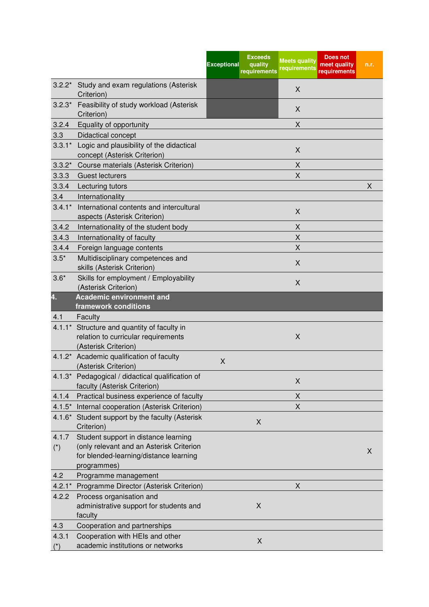|                      |                                                                                                                                           | <b>Exceeds</b><br><b>Exceptional</b><br>quality<br>requirements | <b>Does not</b><br><b>Meets quality</b><br>meet quality<br>requirements<br>requirements | n.r. |
|----------------------|-------------------------------------------------------------------------------------------------------------------------------------------|-----------------------------------------------------------------|-----------------------------------------------------------------------------------------|------|
| $3.2.2*$             | Study and exam regulations (Asterisk<br>Criterion)                                                                                        |                                                                 | X                                                                                       |      |
| $3.2.3*$             | Feasibility of study workload (Asterisk<br>Criterion)                                                                                     |                                                                 | X                                                                                       |      |
| 3.2.4                | Equality of opportunity                                                                                                                   |                                                                 | X                                                                                       |      |
| 3.3                  | Didactical concept                                                                                                                        |                                                                 |                                                                                         |      |
| $3.3.1*$             | Logic and plausibility of the didactical<br>concept (Asterisk Criterion)                                                                  |                                                                 | X                                                                                       |      |
| $3.3.2*$             | Course materials (Asterisk Criterion)                                                                                                     |                                                                 | X                                                                                       |      |
| 3.3.3                | <b>Guest lecturers</b>                                                                                                                    |                                                                 | X                                                                                       |      |
| 3.3.4                | Lecturing tutors                                                                                                                          |                                                                 |                                                                                         | X    |
| 3.4                  | Internationality                                                                                                                          |                                                                 |                                                                                         |      |
| $3.4.1*$             | International contents and intercultural<br>aspects (Asterisk Criterion)                                                                  |                                                                 | X                                                                                       |      |
| 3.4.2                | Internationality of the student body                                                                                                      |                                                                 | X                                                                                       |      |
| 3.4.3                | Internationality of faculty                                                                                                               |                                                                 | Χ                                                                                       |      |
| 3.4.4                | Foreign language contents                                                                                                                 |                                                                 | $\sf X$                                                                                 |      |
| $3.5*$               | Multidisciplinary competences and                                                                                                         |                                                                 |                                                                                         |      |
|                      | skills (Asterisk Criterion)                                                                                                               |                                                                 | X                                                                                       |      |
| $3.6*$               | Skills for employment / Employability<br>(Asterisk Criterion)                                                                             |                                                                 | X                                                                                       |      |
| 4.                   | <b>Academic environment and</b>                                                                                                           |                                                                 |                                                                                         |      |
|                      | framework conditions                                                                                                                      |                                                                 |                                                                                         |      |
| 4.1                  | Faculty                                                                                                                                   |                                                                 |                                                                                         |      |
| $4.1.1*$             | Structure and quantity of faculty in<br>relation to curricular requirements<br>(Asterisk Criterion)                                       |                                                                 | X                                                                                       |      |
|                      | 4.1.2* Academic qualification of faculty<br>(Asterisk Criterion)                                                                          | X                                                               |                                                                                         |      |
|                      | 4.1.3* Pedagogical / didactical qualification of<br>faculty (Asterisk Criterion)                                                          |                                                                 | X                                                                                       |      |
| 4.1.4                | Practical business experience of faculty                                                                                                  |                                                                 | X                                                                                       |      |
| $4.1.5*$             | Internal cooperation (Asterisk Criterion)                                                                                                 |                                                                 | X                                                                                       |      |
|                      | 4.1.6* Student support by the faculty (Asterisk<br>Criterion)                                                                             | X                                                               |                                                                                         |      |
| 4.1.7<br>$(\dot{r})$ | Student support in distance learning<br>(only relevant and an Asterisk Criterion<br>for blended-learning/distance learning<br>programmes) |                                                                 |                                                                                         | X    |
| 4.2                  | Programme management                                                                                                                      |                                                                 |                                                                                         |      |
| $4.2.1*$             | Programme Director (Asterisk Criterion)                                                                                                   |                                                                 | X                                                                                       |      |
| 4.2.2                | Process organisation and<br>administrative support for students and<br>faculty                                                            | X                                                               |                                                                                         |      |
| 4.3                  | Cooperation and partnerships                                                                                                              |                                                                 |                                                                                         |      |
| 4.3.1<br>$(*)$       | Cooperation with HEIs and other<br>academic institutions or networks                                                                      | X                                                               |                                                                                         |      |